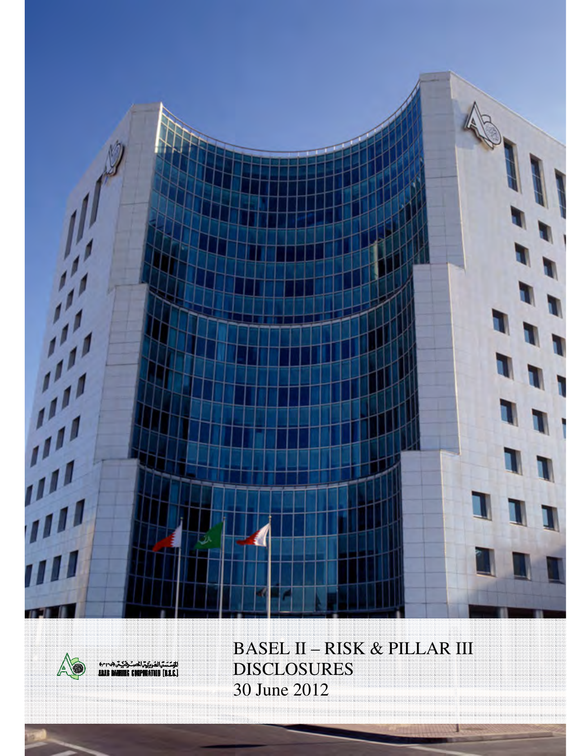



BASEL II – RISK & PILLAR III DISCLOSURES 30 June 2012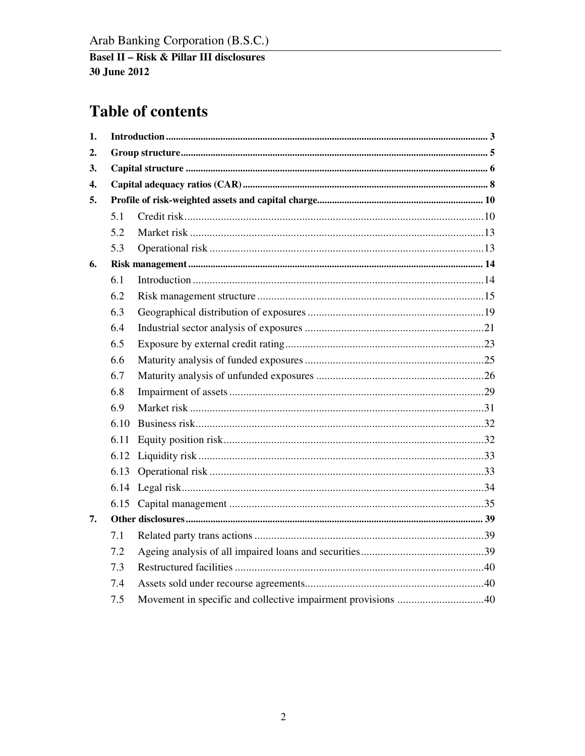## **Table of contents**

| 1. |      |                                                              |  |
|----|------|--------------------------------------------------------------|--|
| 2. |      |                                                              |  |
| 3. |      |                                                              |  |
| 4. |      |                                                              |  |
| 5. |      |                                                              |  |
|    | 5.1  |                                                              |  |
|    | 5.2  |                                                              |  |
|    | 5.3  |                                                              |  |
| 6. |      |                                                              |  |
|    | 6.1  |                                                              |  |
|    | 6.2  |                                                              |  |
|    | 6.3  |                                                              |  |
|    | 6.4  |                                                              |  |
|    | 6.5  |                                                              |  |
|    | 6.6  |                                                              |  |
|    | 6.7  |                                                              |  |
|    | 6.8  |                                                              |  |
|    | 6.9  |                                                              |  |
|    | 6.10 |                                                              |  |
|    | 6.11 |                                                              |  |
|    | 6.12 |                                                              |  |
|    | 6.13 |                                                              |  |
|    |      |                                                              |  |
|    | 6.15 |                                                              |  |
| 7. |      |                                                              |  |
|    | 7.1  |                                                              |  |
|    | 7.2  |                                                              |  |
|    | 7.3  |                                                              |  |
|    | 7.4  |                                                              |  |
|    | 7.5  | Movement in specific and collective impairment provisions 40 |  |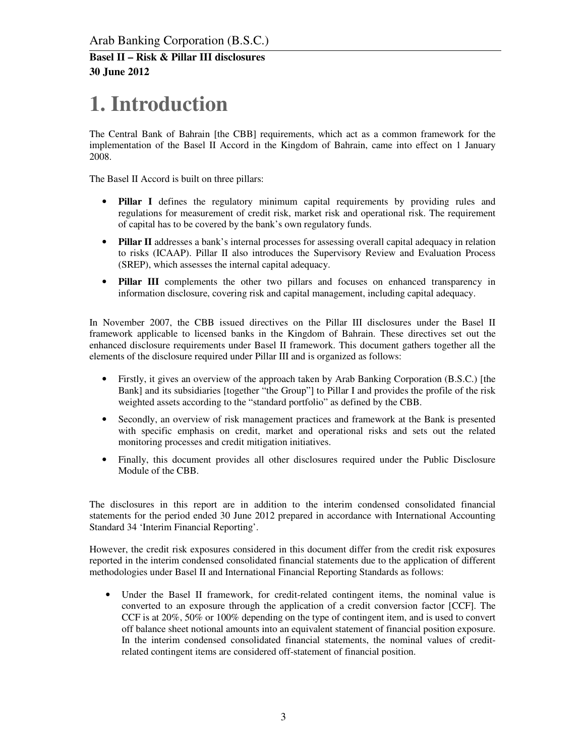# **1. Introduction**

The Central Bank of Bahrain [the CBB] requirements, which act as a common framework for the implementation of the Basel II Accord in the Kingdom of Bahrain, came into effect on 1 January 2008.

The Basel II Accord is built on three pillars:

- **Pillar I** defines the regulatory minimum capital requirements by providing rules and regulations for measurement of credit risk, market risk and operational risk. The requirement of capital has to be covered by the bank's own regulatory funds.
- **Pillar II** addresses a bank's internal processes for assessing overall capital adequacy in relation to risks (ICAAP). Pillar II also introduces the Supervisory Review and Evaluation Process (SREP), which assesses the internal capital adequacy.
- **Pillar III** complements the other two pillars and focuses on enhanced transparency in information disclosure, covering risk and capital management, including capital adequacy.

In November 2007, the CBB issued directives on the Pillar III disclosures under the Basel II framework applicable to licensed banks in the Kingdom of Bahrain. These directives set out the enhanced disclosure requirements under Basel II framework. This document gathers together all the elements of the disclosure required under Pillar III and is organized as follows:

- Firstly, it gives an overview of the approach taken by Arab Banking Corporation (B.S.C.) [the Bank] and its subsidiaries [together "the Group"] to Pillar I and provides the profile of the risk weighted assets according to the "standard portfolio" as defined by the CBB.
- Secondly, an overview of risk management practices and framework at the Bank is presented with specific emphasis on credit, market and operational risks and sets out the related monitoring processes and credit mitigation initiatives.
- Finally, this document provides all other disclosures required under the Public Disclosure Module of the CBB.

The disclosures in this report are in addition to the interim condensed consolidated financial statements for the period ended 30 June 2012 prepared in accordance with International Accounting Standard 34 'Interim Financial Reporting'.

However, the credit risk exposures considered in this document differ from the credit risk exposures reported in the interim condensed consolidated financial statements due to the application of different methodologies under Basel II and International Financial Reporting Standards as follows:

• Under the Basel II framework, for credit-related contingent items, the nominal value is converted to an exposure through the application of a credit conversion factor [CCF]. The CCF is at 20%, 50% or 100% depending on the type of contingent item, and is used to convert off balance sheet notional amounts into an equivalent statement of financial position exposure. In the interim condensed consolidated financial statements, the nominal values of creditrelated contingent items are considered off-statement of financial position.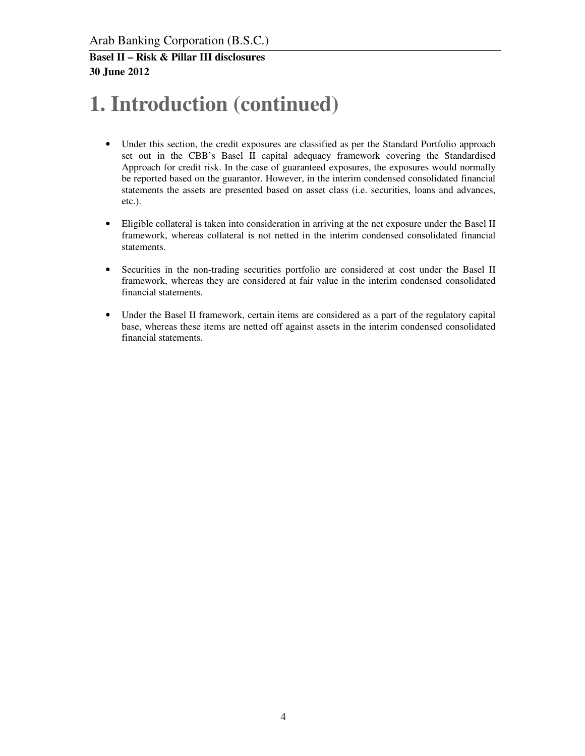# **1. Introduction (continued)**

- Under this section, the credit exposures are classified as per the Standard Portfolio approach set out in the CBB's Basel II capital adequacy framework covering the Standardised Approach for credit risk. In the case of guaranteed exposures, the exposures would normally be reported based on the guarantor. However, in the interim condensed consolidated financial statements the assets are presented based on asset class (i.e. securities, loans and advances, etc.).
- Eligible collateral is taken into consideration in arriving at the net exposure under the Basel II framework, whereas collateral is not netted in the interim condensed consolidated financial statements.
- Securities in the non-trading securities portfolio are considered at cost under the Basel II framework, whereas they are considered at fair value in the interim condensed consolidated financial statements.
- Under the Basel II framework, certain items are considered as a part of the regulatory capital base, whereas these items are netted off against assets in the interim condensed consolidated financial statements.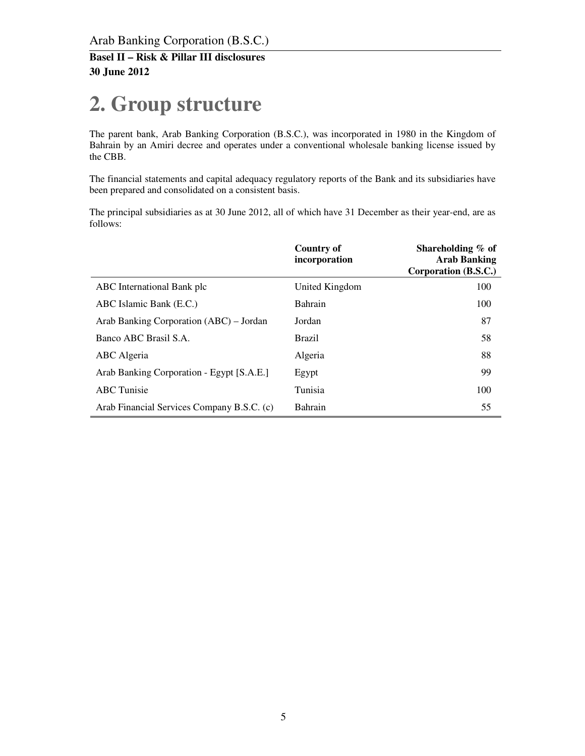# **2. Group structure**

The parent bank, Arab Banking Corporation (B.S.C.), was incorporated in 1980 in the Kingdom of Bahrain by an Amiri decree and operates under a conventional wholesale banking license issued by the CBB.

The financial statements and capital adequacy regulatory reports of the Bank and its subsidiaries have been prepared and consolidated on a consistent basis.

The principal subsidiaries as at 30 June 2012, all of which have 31 December as their year-end, are as follows:

|                                            | Country of<br>incorporation | Shareholding % of<br><b>Arab Banking</b><br>Corporation (B.S.C.) |
|--------------------------------------------|-----------------------------|------------------------------------------------------------------|
| ABC International Bank plc                 | United Kingdom              | 100                                                              |
| ABC Islamic Bank (E.C.)                    | Bahrain                     | 100                                                              |
| Arab Banking Corporation (ABC) – Jordan    | Jordan                      | 87                                                               |
| Banco ABC Brasil S.A.                      | <b>Brazil</b>               | 58                                                               |
| ABC Algeria                                | Algeria                     | 88                                                               |
| Arab Banking Corporation - Egypt [S.A.E.]  | Egypt                       | 99                                                               |
| <b>ABC</b> Tunisie                         | Tunisia                     | 100                                                              |
| Arab Financial Services Company B.S.C. (c) | Bahrain                     | 55                                                               |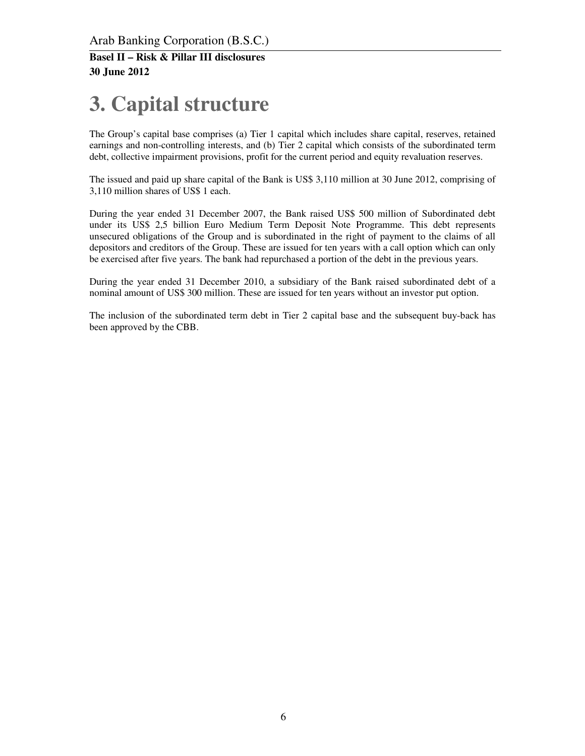# **3. Capital structure**

The Group's capital base comprises (a) Tier 1 capital which includes share capital, reserves, retained earnings and non-controlling interests, and (b) Tier 2 capital which consists of the subordinated term debt, collective impairment provisions, profit for the current period and equity revaluation reserves.

The issued and paid up share capital of the Bank is US\$ 3,110 million at 30 June 2012, comprising of 3,110 million shares of US\$ 1 each.

During the year ended 31 December 2007, the Bank raised US\$ 500 million of Subordinated debt under its US\$ 2,5 billion Euro Medium Term Deposit Note Programme. This debt represents unsecured obligations of the Group and is subordinated in the right of payment to the claims of all depositors and creditors of the Group. These are issued for ten years with a call option which can only be exercised after five years. The bank had repurchased a portion of the debt in the previous years.

During the year ended 31 December 2010, a subsidiary of the Bank raised subordinated debt of a nominal amount of US\$ 300 million. These are issued for ten years without an investor put option.

The inclusion of the subordinated term debt in Tier 2 capital base and the subsequent buy-back has been approved by the CBB.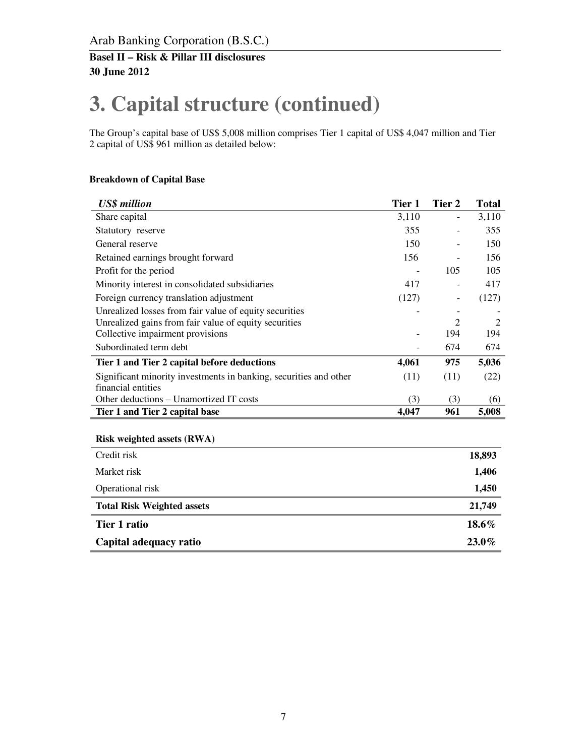# **3. Capital structure (continued)**

The Group's capital base of US\$ 5,008 million comprises Tier 1 capital of US\$ 4,047 million and Tier 2 capital of US\$ 961 million as detailed below:

#### **Breakdown of Capital Base**

| <b>US\$</b> million                                               | Tier 1 | Tier 2 | <b>Total</b>   |
|-------------------------------------------------------------------|--------|--------|----------------|
| Share capital                                                     | 3,110  | -      | 3,110          |
| Statutory reserve                                                 | 355    |        | 355            |
| General reserve                                                   | 150    |        | 150            |
| Retained earnings brought forward                                 | 156    |        | 156            |
| Profit for the period                                             |        | 105    | 105            |
| Minority interest in consolidated subsidiaries                    | 417    |        | 417            |
| Foreign currency translation adjustment                           | (127)  | -      | (127)          |
| Unrealized losses from fair value of equity securities            |        |        |                |
| Unrealized gains from fair value of equity securities             |        | 2      | $\mathfrak{D}$ |
| Collective impairment provisions                                  |        | 194    | 194            |
| Subordinated term debt                                            |        | 674    | 674            |
| Tier 1 and Tier 2 capital before deductions                       | 4,061  | 975    | 5,036          |
| Significant minority investments in banking, securities and other | (11)   | (11)   | (22)           |
| financial entities                                                |        |        |                |
| Other deductions – Unamortized IT costs                           | (3)    | (3)    | (6)            |
| Tier 1 and Tier 2 capital base                                    | 4,047  | 961    | 5,008          |

#### **Risk weighted assets (RWA)**

| Credit risk                       | 18,893   |
|-----------------------------------|----------|
| Market risk                       | 1,406    |
| Operational risk                  | 1,450    |
| <b>Total Risk Weighted assets</b> | 21,749   |
| Tier 1 ratio                      | 18.6%    |
| Capital adequacy ratio            | $23.0\%$ |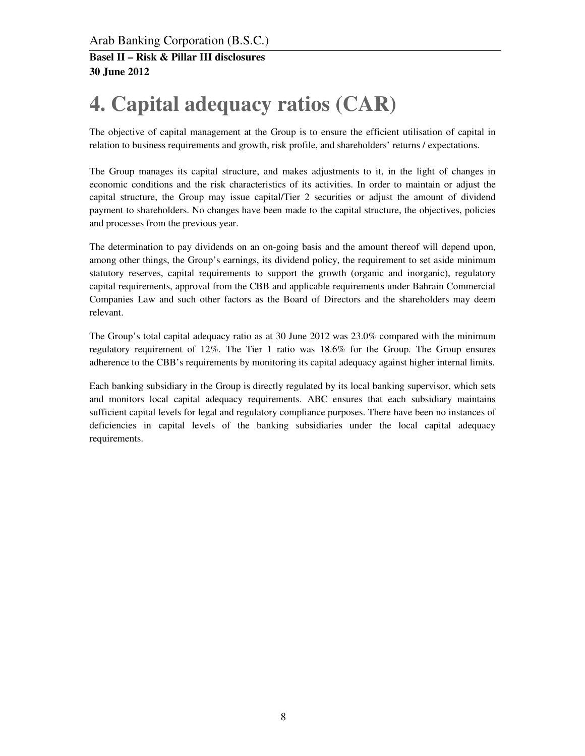# **4. Capital adequacy ratios (CAR)**

The objective of capital management at the Group is to ensure the efficient utilisation of capital in relation to business requirements and growth, risk profile, and shareholders' returns / expectations.

The Group manages its capital structure, and makes adjustments to it, in the light of changes in economic conditions and the risk characteristics of its activities. In order to maintain or adjust the capital structure, the Group may issue capital/Tier 2 securities or adjust the amount of dividend payment to shareholders. No changes have been made to the capital structure, the objectives, policies and processes from the previous year.

The determination to pay dividends on an on-going basis and the amount thereof will depend upon, among other things, the Group's earnings, its dividend policy, the requirement to set aside minimum statutory reserves, capital requirements to support the growth (organic and inorganic), regulatory capital requirements, approval from the CBB and applicable requirements under Bahrain Commercial Companies Law and such other factors as the Board of Directors and the shareholders may deem relevant.

The Group's total capital adequacy ratio as at 30 June 2012 was 23.0% compared with the minimum regulatory requirement of 12%. The Tier 1 ratio was 18.6% for the Group. The Group ensures adherence to the CBB's requirements by monitoring its capital adequacy against higher internal limits.

Each banking subsidiary in the Group is directly regulated by its local banking supervisor, which sets and monitors local capital adequacy requirements. ABC ensures that each subsidiary maintains sufficient capital levels for legal and regulatory compliance purposes. There have been no instances of deficiencies in capital levels of the banking subsidiaries under the local capital adequacy requirements.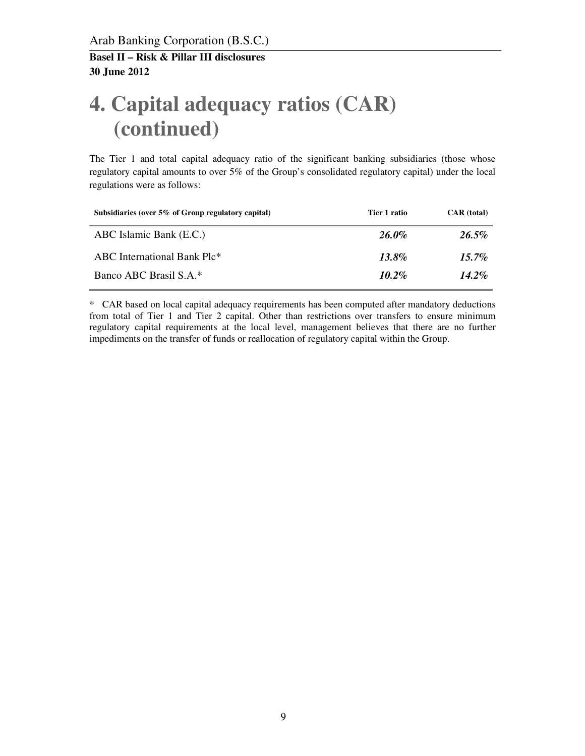# **4. Capital adequacy ratios (CAR) (continued)**

The Tier 1 and total capital adequacy ratio of the significant banking subsidiaries (those whose regulatory capital amounts to over 5% of the Group's consolidated regulatory capital) under the local regulations were as follows:

| Subsidiaries (over 5% of Group regulatory capital) | Tier 1 ratio | <b>CAR</b> (total) |
|----------------------------------------------------|--------------|--------------------|
| ABC Islamic Bank (E.C.)                            | 26.0%        | $26.5\%$           |
| ABC International Bank Plc*                        | $13.8\%$     | $15.7\%$           |
| Banco ABC Brasil S.A.*                             | $10.2\%$     | $14.2\%$           |

\* CAR based on local capital adequacy requirements has been computed after mandatory deductions from total of Tier 1 and Tier 2 capital. Other than restrictions over transfers to ensure minimum regulatory capital requirements at the local level, management believes that there are no further impediments on the transfer of funds or reallocation of regulatory capital within the Group.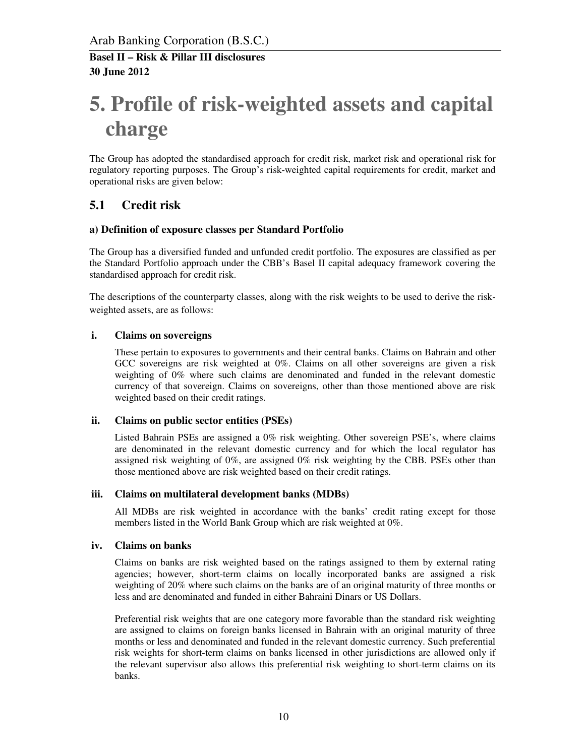# **5. Profile of risk-weighted assets and capital charge**

The Group has adopted the standardised approach for credit risk, market risk and operational risk for regulatory reporting purposes. The Group's risk-weighted capital requirements for credit, market and operational risks are given below:

### **5.1 Credit risk**

#### **a) Definition of exposure classes per Standard Portfolio**

The Group has a diversified funded and unfunded credit portfolio. The exposures are classified as per the Standard Portfolio approach under the CBB's Basel II capital adequacy framework covering the standardised approach for credit risk.

The descriptions of the counterparty classes, along with the risk weights to be used to derive the riskweighted assets, are as follows:

#### **i. Claims on sovereigns**

 These pertain to exposures to governments and their central banks. Claims on Bahrain and other GCC sovereigns are risk weighted at 0%. Claims on all other sovereigns are given a risk weighting of 0% where such claims are denominated and funded in the relevant domestic currency of that sovereign. Claims on sovereigns, other than those mentioned above are risk weighted based on their credit ratings.

#### **ii. Claims on public sector entities (PSEs)**

 Listed Bahrain PSEs are assigned a 0% risk weighting. Other sovereign PSE's, where claims are denominated in the relevant domestic currency and for which the local regulator has assigned risk weighting of 0%, are assigned 0% risk weighting by the CBB. PSEs other than those mentioned above are risk weighted based on their credit ratings.

#### **iii. Claims on multilateral development banks (MDBs)**

 All MDBs are risk weighted in accordance with the banks' credit rating except for those members listed in the World Bank Group which are risk weighted at 0%.

#### **iv. Claims on banks**

 Claims on banks are risk weighted based on the ratings assigned to them by external rating agencies; however, short-term claims on locally incorporated banks are assigned a risk weighting of 20% where such claims on the banks are of an original maturity of three months or less and are denominated and funded in either Bahraini Dinars or US Dollars.

Preferential risk weights that are one category more favorable than the standard risk weighting are assigned to claims on foreign banks licensed in Bahrain with an original maturity of three months or less and denominated and funded in the relevant domestic currency. Such preferential risk weights for short-term claims on banks licensed in other jurisdictions are allowed only if the relevant supervisor also allows this preferential risk weighting to short-term claims on its banks.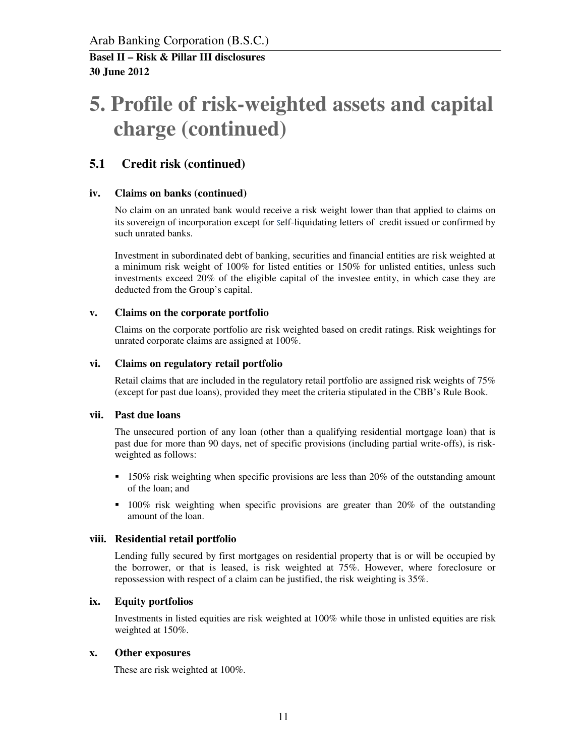# **5. Profile of risk-weighted assets and capital charge (continued)**

### **5.1 Credit risk (continued)**

#### **iv. Claims on banks (continued)**

No claim on an unrated bank would receive a risk weight lower than that applied to claims on its sovereign of incorporation except for self-liquidating letters of credit issued or confirmed by such unrated banks.

Investment in subordinated debt of banking, securities and financial entities are risk weighted at a minimum risk weight of 100% for listed entities or 150% for unlisted entities, unless such investments exceed 20% of the eligible capital of the investee entity, in which case they are deducted from the Group's capital.

#### **v. Claims on the corporate portfolio**

Claims on the corporate portfolio are risk weighted based on credit ratings. Risk weightings for unrated corporate claims are assigned at 100%.

#### **vi. Claims on regulatory retail portfolio**

Retail claims that are included in the regulatory retail portfolio are assigned risk weights of 75% (except for past due loans), provided they meet the criteria stipulated in the CBB's Rule Book.

#### **vii. Past due loans**

The unsecured portion of any loan (other than a qualifying residential mortgage loan) that is past due for more than 90 days, net of specific provisions (including partial write-offs), is riskweighted as follows:

- 150% risk weighting when specific provisions are less than 20% of the outstanding amount of the loan; and
- 100% risk weighting when specific provisions are greater than 20% of the outstanding amount of the loan.

#### **viii. Residential retail portfolio**

Lending fully secured by first mortgages on residential property that is or will be occupied by the borrower, or that is leased, is risk weighted at 75%. However, where foreclosure or repossession with respect of a claim can be justified, the risk weighting is 35%.

#### **ix. Equity portfolios**

Investments in listed equities are risk weighted at 100% while those in unlisted equities are risk weighted at 150%.

#### **x. Other exposures**

These are risk weighted at 100%.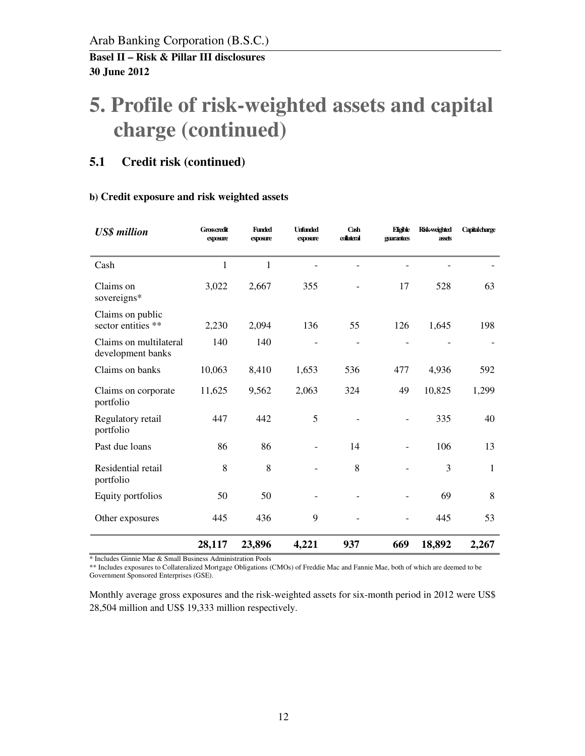# **5. Profile of risk-weighted assets and capital charge (continued)**

### **5.1 Credit risk (continued)**

#### **b) Credit exposure and risk weighted assets**

| <b>US\$</b> million                         | <b>Grosscredit</b><br>exposure | <b>Funded</b><br>exposure | <b>Unfunded</b><br>exposure | Cash<br>collateral | Eligible<br>guarantees | Risk-weighted<br>assets | <b>Capital charge</b> |
|---------------------------------------------|--------------------------------|---------------------------|-----------------------------|--------------------|------------------------|-------------------------|-----------------------|
| Cash                                        | $\mathbf{1}$                   | $\mathbf{1}$              |                             |                    |                        |                         |                       |
| Claims on<br>sovereigns*                    | 3,022                          | 2,667                     | 355                         |                    | 17                     | 528                     | 63                    |
| Claims on public<br>sector entities **      | 2,230                          | 2,094                     | 136                         | 55                 | 126                    | 1,645                   | 198                   |
| Claims on multilateral<br>development banks | 140                            | 140                       |                             |                    |                        |                         |                       |
| Claims on banks                             | 10,063                         | 8,410                     | 1,653                       | 536                | 477                    | 4,936                   | 592                   |
| Claims on corporate<br>portfolio            | 11,625                         | 9,562                     | 2,063                       | 324                | 49                     | 10,825                  | 1,299                 |
| Regulatory retail<br>portfolio              | 447                            | 442                       | 5                           |                    |                        | 335                     | 40                    |
| Past due loans                              | 86                             | 86                        |                             | 14                 |                        | 106                     | 13                    |
| Residential retail<br>portfolio             | 8                              | 8                         |                             | 8                  |                        | 3                       | 1                     |
| Equity portfolios                           | 50                             | 50                        |                             |                    |                        | 69                      | 8                     |
| Other exposures                             | 445                            | 436                       | 9                           |                    |                        | 445                     | 53                    |
|                                             | 28,117                         | 23,896                    | 4,221                       | 937                | 669                    | 18,892                  | 2,267                 |

\* Includes Ginnie Mae & Small Business Administration Pools

\*\* Includes exposures to Collateralized Mortgage Obligations (CMOs) of Freddie Mac and Fannie Mae, both of which are deemed to be Government Sponsored Enterprises (GSE).

Monthly average gross exposures and the risk-weighted assets for six-month period in 2012 were US\$ 28,504 million and US\$ 19,333 million respectively.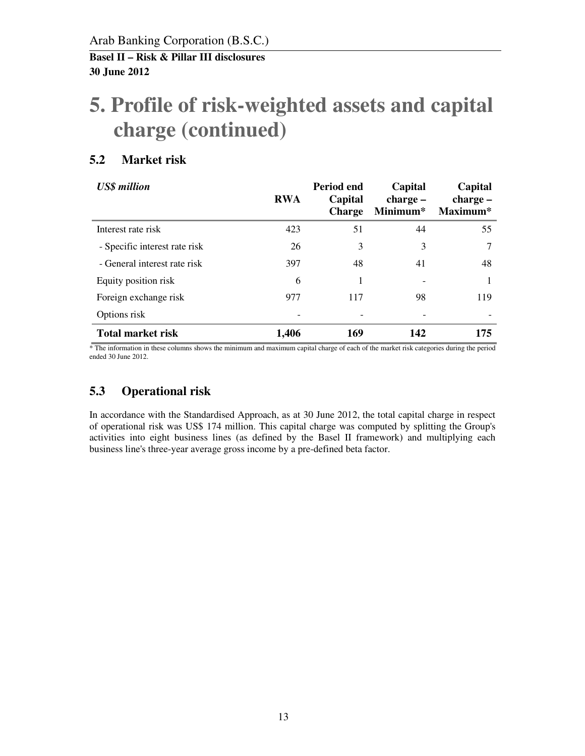# **5. Profile of risk-weighted assets and capital charge (continued)**

### **5.2 Market risk**

| <b>US\$</b> million           | <b>RWA</b> | Period end<br>Capital<br><b>Charge</b> | Capital<br>$charge -$<br>Minimum* | Capital<br>$charge -$<br>Maximum* |
|-------------------------------|------------|----------------------------------------|-----------------------------------|-----------------------------------|
| Interest rate risk            | 423        | 51                                     | 44                                | 55                                |
| - Specific interest rate risk | 26         | 3                                      | 3                                 | 7                                 |
| - General interest rate risk  | 397        | 48                                     | 41                                | 48                                |
| Equity position risk          | 6          |                                        |                                   |                                   |
| Foreign exchange risk         | 977        | 117                                    | 98                                | 119                               |
| Options risk                  |            |                                        |                                   |                                   |
| <b>Total market risk</b>      | 1,406      | 169                                    | 142                               | 175                               |

\* The information in these columns shows the minimum and maximum capital charge of each of the market risk categories during the period ended 30 June 2012.

## **5.3 Operational risk**

In accordance with the Standardised Approach, as at 30 June 2012, the total capital charge in respect of operational risk was US\$ 174 million. This capital charge was computed by splitting the Group's activities into eight business lines (as defined by the Basel II framework) and multiplying each business line's three-year average gross income by a pre-defined beta factor.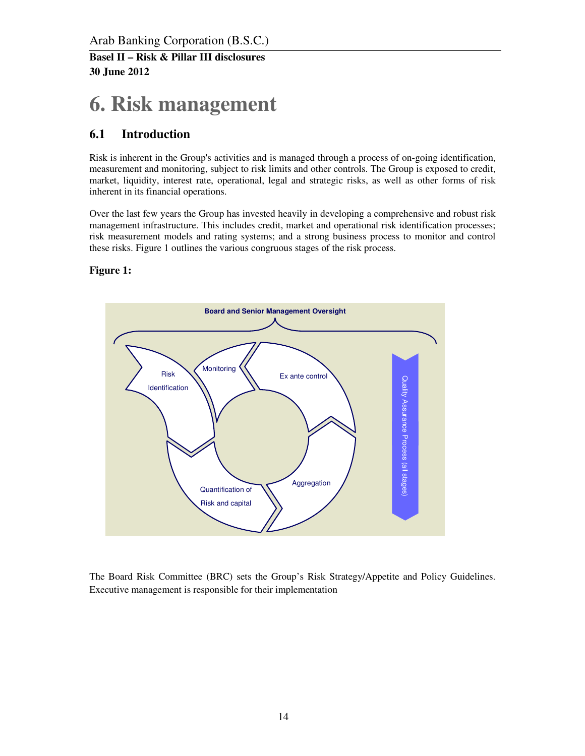## **6. Risk management**

## **6.1 Introduction**

Risk is inherent in the Group's activities and is managed through a process of on-going identification, measurement and monitoring, subject to risk limits and other controls. The Group is exposed to credit, market, liquidity, interest rate, operational, legal and strategic risks, as well as other forms of risk inherent in its financial operations.

Over the last few years the Group has invested heavily in developing a comprehensive and robust risk management infrastructure. This includes credit, market and operational risk identification processes; risk measurement models and rating systems; and a strong business process to monitor and control these risks. Figure 1 outlines the various congruous stages of the risk process.

#### **Figure 1:**



The Board Risk Committee (BRC) sets the Group's Risk Strategy/Appetite and Policy Guidelines. Executive management is responsible for their implementation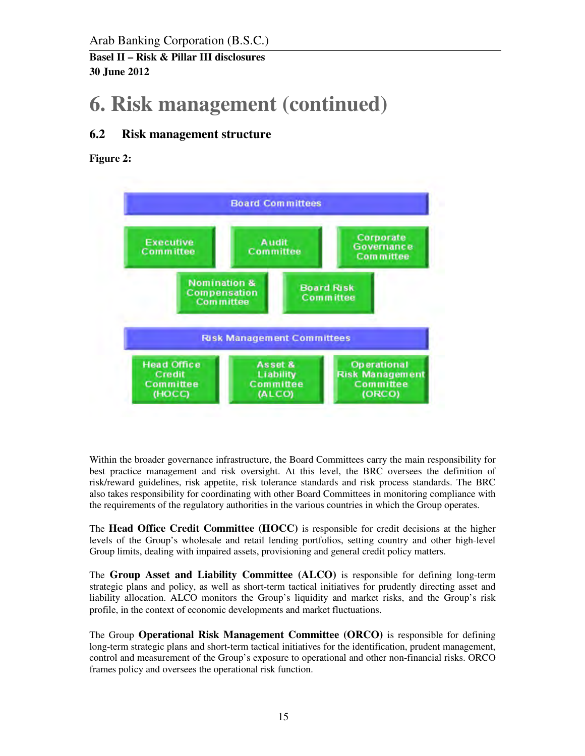Arab Banking Corporation (B.S.C.)

**Basel II – Risk & Pillar III disclosures 30 June 2012** 

# **6. Risk management (continued)**

## **6.2 Risk management structure**

**Figure 2:** 



Within the broader governance infrastructure, the Board Committees carry the main responsibility for best practice management and risk oversight. At this level, the BRC oversees the definition of risk/reward guidelines, risk appetite, risk tolerance standards and risk process standards. The BRC also takes responsibility for coordinating with other Board Committees in monitoring compliance with the requirements of the regulatory authorities in the various countries in which the Group operates.

The **Head Office Credit Committee (HOCC)** is responsible for credit decisions at the higher levels of the Group's wholesale and retail lending portfolios, setting country and other high-level Group limits, dealing with impaired assets, provisioning and general credit policy matters.

The **Group Asset and Liability Committee (ALCO)** is responsible for defining long-term strategic plans and policy, as well as short-term tactical initiatives for prudently directing asset and liability allocation. ALCO monitors the Group's liquidity and market risks, and the Group's risk profile, in the context of economic developments and market fluctuations.

The Group **Operational Risk Management Committee (ORCO)** is responsible for defining long-term strategic plans and short-term tactical initiatives for the identification, prudent management, control and measurement of the Group's exposure to operational and other non-financial risks. ORCO frames policy and oversees the operational risk function.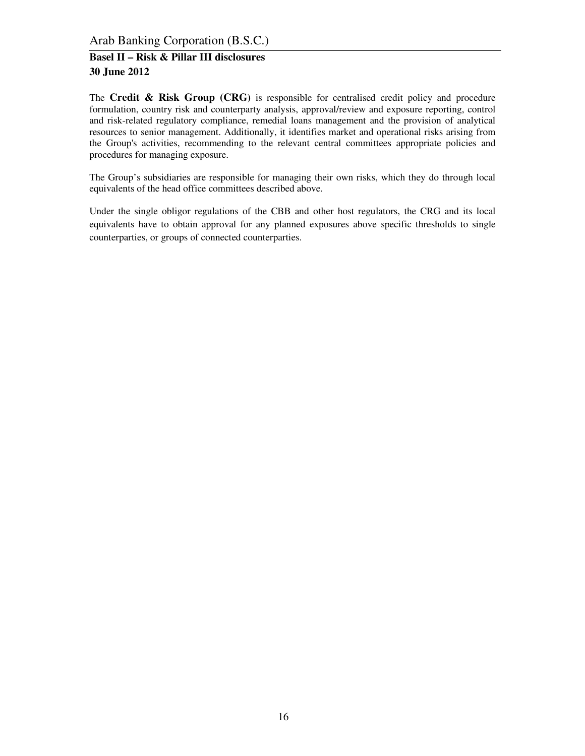Arab Banking Corporation (B.S.C.)

#### **Basel II – Risk & Pillar III disclosures 30 June 2012**

The **Credit & Risk Group (CRG)** is responsible for centralised credit policy and procedure formulation, country risk and counterparty analysis, approval/review and exposure reporting, control and risk-related regulatory compliance, remedial loans management and the provision of analytical resources to senior management. Additionally, it identifies market and operational risks arising from the Group's activities, recommending to the relevant central committees appropriate policies and procedures for managing exposure.

The Group's subsidiaries are responsible for managing their own risks, which they do through local equivalents of the head office committees described above.

Under the single obligor regulations of the CBB and other host regulators, the CRG and its local equivalents have to obtain approval for any planned exposures above specific thresholds to single counterparties, or groups of connected counterparties.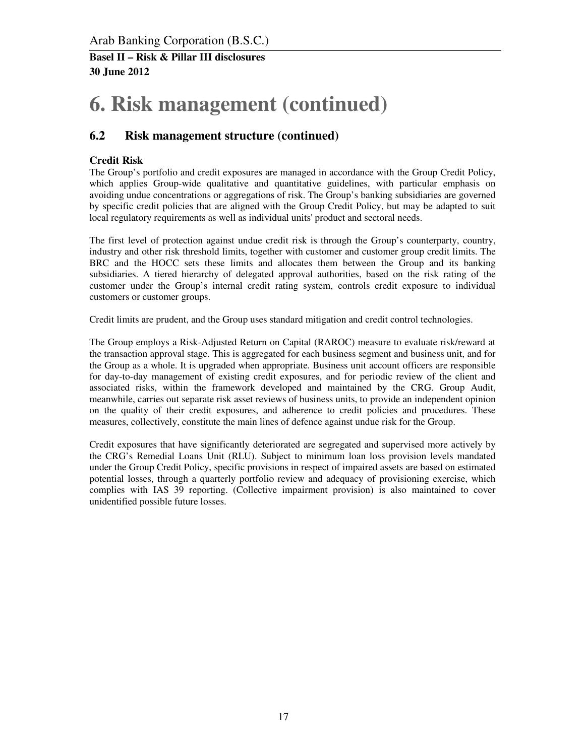# **6. Risk management (continued)**

### **6.2 Risk management structure (continued)**

#### **Credit Risk**

The Group's portfolio and credit exposures are managed in accordance with the Group Credit Policy, which applies Group-wide qualitative and quantitative guidelines, with particular emphasis on avoiding undue concentrations or aggregations of risk. The Group's banking subsidiaries are governed by specific credit policies that are aligned with the Group Credit Policy, but may be adapted to suit local regulatory requirements as well as individual units' product and sectoral needs.

The first level of protection against undue credit risk is through the Group's counterparty, country, industry and other risk threshold limits, together with customer and customer group credit limits. The BRC and the HOCC sets these limits and allocates them between the Group and its banking subsidiaries. A tiered hierarchy of delegated approval authorities, based on the risk rating of the customer under the Group's internal credit rating system, controls credit exposure to individual customers or customer groups.

Credit limits are prudent, and the Group uses standard mitigation and credit control technologies.

The Group employs a Risk-Adjusted Return on Capital (RAROC) measure to evaluate risk/reward at the transaction approval stage. This is aggregated for each business segment and business unit, and for the Group as a whole. It is upgraded when appropriate. Business unit account officers are responsible for day-to-day management of existing credit exposures, and for periodic review of the client and associated risks, within the framework developed and maintained by the CRG. Group Audit, meanwhile, carries out separate risk asset reviews of business units, to provide an independent opinion on the quality of their credit exposures, and adherence to credit policies and procedures. These measures, collectively, constitute the main lines of defence against undue risk for the Group.

Credit exposures that have significantly deteriorated are segregated and supervised more actively by the CRG's Remedial Loans Unit (RLU). Subject to minimum loan loss provision levels mandated under the Group Credit Policy, specific provisions in respect of impaired assets are based on estimated potential losses, through a quarterly portfolio review and adequacy of provisioning exercise, which complies with IAS 39 reporting. (Collective impairment provision) is also maintained to cover unidentified possible future losses.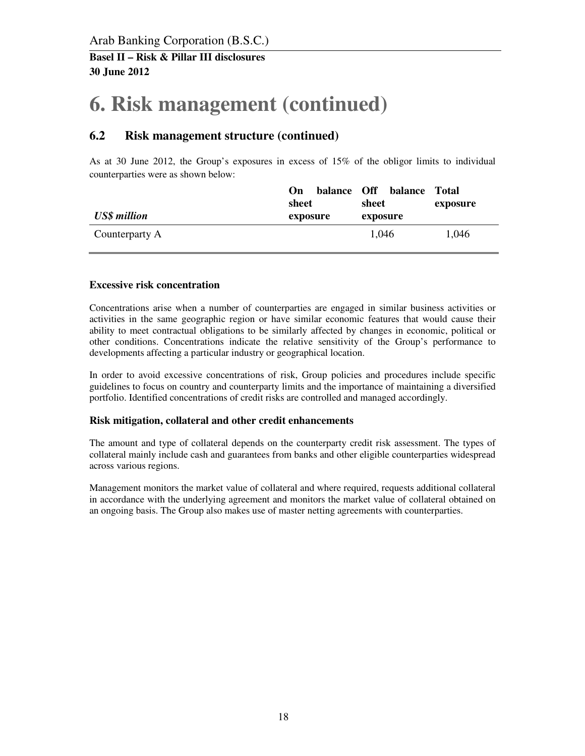# **6. Risk management (continued)**

### **6.2 Risk management structure (continued)**

As at 30 June 2012, the Group's exposures in excess of 15% of the obligor limits to individual counterparties were as shown below:

| <b>US\$</b> million | On<br>sheet<br>exposure | balance Off | sheet<br>exposure | balance Total | exposure |
|---------------------|-------------------------|-------------|-------------------|---------------|----------|
| Counterparty A      |                         |             | 1,046             |               | 1,046    |

#### **Excessive risk concentration**

Concentrations arise when a number of counterparties are engaged in similar business activities or activities in the same geographic region or have similar economic features that would cause their ability to meet contractual obligations to be similarly affected by changes in economic, political or other conditions. Concentrations indicate the relative sensitivity of the Group's performance to developments affecting a particular industry or geographical location.

In order to avoid excessive concentrations of risk, Group policies and procedures include specific guidelines to focus on country and counterparty limits and the importance of maintaining a diversified portfolio. Identified concentrations of credit risks are controlled and managed accordingly.

#### **Risk mitigation, collateral and other credit enhancements**

The amount and type of collateral depends on the counterparty credit risk assessment. The types of collateral mainly include cash and guarantees from banks and other eligible counterparties widespread across various regions.

Management monitors the market value of collateral and where required, requests additional collateral in accordance with the underlying agreement and monitors the market value of collateral obtained on an ongoing basis. The Group also makes use of master netting agreements with counterparties.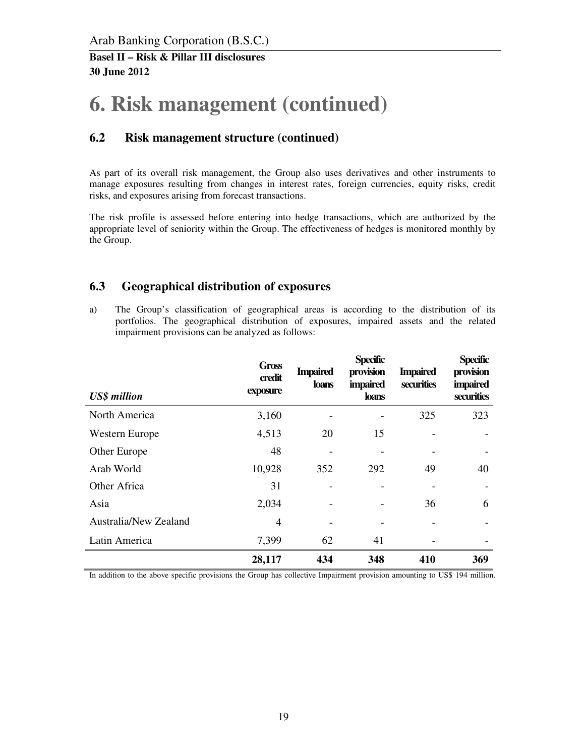## **6. Risk management (continued)**

### **6.2 Risk management structure (continued)**

As part of its overall risk management, the Group also uses derivatives and other instruments to manage exposures resulting from changes in interest rates, foreign currencies, equity risks, credit risks, and exposures arising from forecast transactions.

The risk profile is assessed before entering into hedge transactions, which are authorized by the appropriate level of seniority within the Group. The effectiveness of hedges is monitored monthly by the Group.

#### **6.3 Geographical distribution of exposures**

a) The Group's classification of geographical areas is according to the distribution of its portfolios. The geographical distribution of exposures, impaired assets and the related impairment provisions can be analyzed as follows:

| <b>US\$</b> million   | <b>Gross</b><br>credit<br>exposure | <b>Impaired</b><br>loans | <b>Specific</b><br>provision<br><i>impaired</i><br><b>loans</b> | <b>Impaired</b><br>securities | <b>Specific</b><br>provision<br><i>impaired</i><br>securities |
|-----------------------|------------------------------------|--------------------------|-----------------------------------------------------------------|-------------------------------|---------------------------------------------------------------|
| North America         | 3,160                              |                          |                                                                 | 325                           | 323                                                           |
| Western Europe        | 4,513                              | 20                       | 15                                                              |                               |                                                               |
| Other Europe          | 48                                 |                          |                                                                 |                               |                                                               |
| Arab World            | 10,928                             | 352                      | 292                                                             | 49                            | 40                                                            |
| Other Africa          | 31                                 |                          |                                                                 |                               |                                                               |
| Asia                  | 2,034                              |                          |                                                                 | 36                            | 6                                                             |
| Australia/New Zealand | $\overline{4}$                     |                          |                                                                 |                               |                                                               |
| Latin America         | 7,399                              | 62                       | 41                                                              |                               |                                                               |
|                       | 28,117                             | 434                      | 348                                                             | 410                           | 369                                                           |

In addition to the above specific provisions the Group has collective Impairment provision amounting to US\$ 194 million.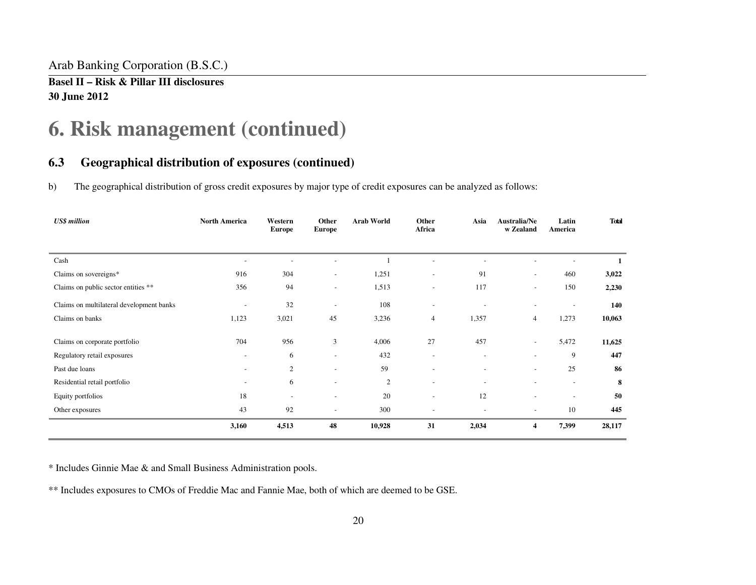Arab Banking Corporation (B.S.C.)

**Basel II – Risk & Pillar III disclosures 30 June 2012** 

## **6. Risk management (continued)**

### **6.3 Geographical distribution of exposures (continued)**

b) The geographical distribution of gross credit exposures by major type of credit exposures can be analyzed as follows:

| <b>US\$</b> million                      | <b>North America</b>     | Western<br><b>Europe</b> | Other<br><b>Europe</b>   | <b>Arab World</b> | Other<br>Africa          | Asia                         | Australia/Ne<br>w Zealand | Latin<br>America         | <b>Total</b> |
|------------------------------------------|--------------------------|--------------------------|--------------------------|-------------------|--------------------------|------------------------------|---------------------------|--------------------------|--------------|
|                                          |                          |                          |                          |                   |                          |                              |                           |                          |              |
| Cash                                     |                          |                          |                          |                   |                          |                              |                           |                          |              |
| Claims on sovereigns*                    | 916                      | 304                      | $\overline{\phantom{a}}$ | 1,251             | $\overline{\phantom{a}}$ | 91                           | $\overline{\phantom{a}}$  | 460                      | 3,022        |
| Claims on public sector entities **      | 356                      | 94                       | $\overline{\phantom{a}}$ | 1,513             | $\overline{\phantom{a}}$ | 117                          | $\overline{\phantom{a}}$  | 150                      | 2,230        |
| Claims on multilateral development banks | $\overline{\phantom{a}}$ | 32                       | $\overline{\phantom{a}}$ | 108               | $\overline{\phantom{a}}$ |                              |                           |                          | 140          |
| Claims on banks                          | 1,123                    | 3,021                    | 45                       | 3,236             | $\overline{4}$           | 1,357                        | 4                         | 1,273                    | 10,063       |
| Claims on corporate portfolio            | 704                      | 956                      | 3                        | 4,006             | 27                       | 457                          | $\overline{\phantom{a}}$  | 5,472                    | 11,625       |
| Regulatory retail exposures              | $\overline{\phantom{a}}$ | 6                        |                          | 432               | $\tilde{\phantom{a}}$    | ۰                            | ۰                         | 9                        | 447          |
| Past due loans                           |                          | 2                        |                          | 59                |                          |                              | ٠                         | 25                       | 86           |
| Residential retail portfolio             | $\overline{\phantom{a}}$ | 6                        | $\overline{\phantom{a}}$ | $\overline{2}$    | $\overline{\phantom{a}}$ | $\qquad \qquad \blacksquare$ | $\overline{\phantom{a}}$  | $\overline{\phantom{a}}$ | 8            |
| Equity portfolios                        | 18                       | $\overline{\phantom{a}}$ | $\overline{\phantom{a}}$ | 20                | $\overline{\phantom{a}}$ | 12                           | $\tilde{\phantom{a}}$     |                          | 50           |
| Other exposures                          | 43                       | 92                       |                          | 300               |                          |                              |                           | 10                       | 445          |
|                                          | 3,160                    | 4,513                    | 48                       | 10,928            | 31                       | 2,034                        | 4                         | 7,399                    | 28,117       |

\* Includes Ginnie Mae & and Small Business Administration pools.

\*\* Includes exposures to CMOs of Freddie Mac and Fannie Mae, both of which are deemed to be GSE.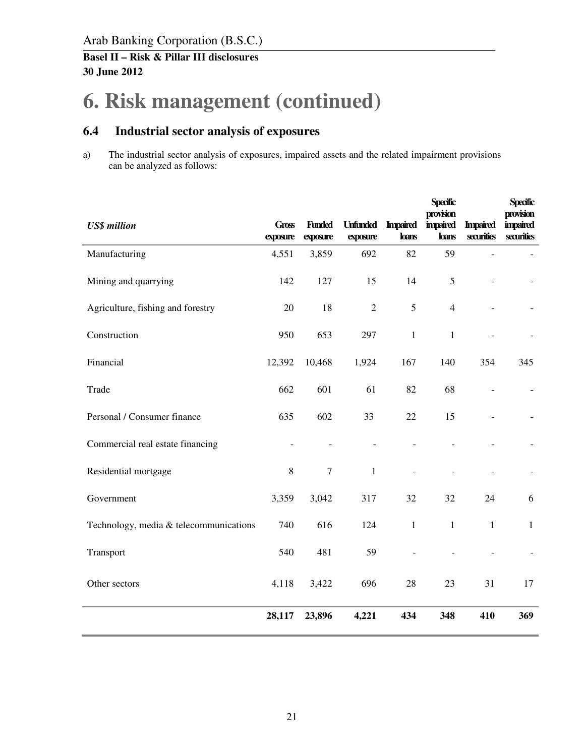# **6. Risk management (continued)**

## **6.4 Industrial sector analysis of exposures**

a) The industrial sector analysis of exposures, impaired assets and the related impairment provisions can be analyzed as follows:

| <b>US\$</b> million                    | <b>Gross</b><br>exposure | <b>Funded</b><br>exposure | <b>Unfunded</b><br>exposure | <b>Impaired</b><br>loans | <b>Specific</b><br>provision<br><b>impaired</b><br>loans | <b>Impaired</b><br>securities | <b>Specific</b><br>provision<br><b>impaired</b><br>securities |
|----------------------------------------|--------------------------|---------------------------|-----------------------------|--------------------------|----------------------------------------------------------|-------------------------------|---------------------------------------------------------------|
| Manufacturing                          | 4,551                    | 3,859                     | 692                         | 82                       | 59                                                       | $\overline{a}$                |                                                               |
| Mining and quarrying                   | 142                      | 127                       | 15                          | 14                       | 5                                                        | $\overline{a}$                |                                                               |
| Agriculture, fishing and forestry      | 20                       | 18                        | $\overline{2}$              | 5                        | $\overline{4}$                                           |                               |                                                               |
| Construction                           | 950                      | 653                       | 297                         | $\mathbf{1}$             | $\mathbf{1}$                                             |                               |                                                               |
| Financial                              | 12,392                   | 10,468                    | 1,924                       | 167                      | 140                                                      | 354                           | 345                                                           |
| Trade                                  | 662                      | 601                       | 61                          | 82                       | 68                                                       | $\overline{a}$                |                                                               |
| Personal / Consumer finance            | 635                      | 602                       | 33                          | 22                       | 15                                                       | $\overline{a}$                |                                                               |
| Commercial real estate financing       |                          |                           |                             |                          |                                                          |                               |                                                               |
| Residential mortgage                   | $8\,$                    | $\boldsymbol{7}$          | $\mathbf{1}$                | $\bar{a}$                |                                                          |                               |                                                               |
| Government                             | 3,359                    | 3,042                     | 317                         | 32                       | 32                                                       | 24                            | 6                                                             |
| Technology, media & telecommunications | 740                      | 616                       | 124                         | $\mathbf{1}$             | $\mathbf{1}$                                             | $\mathbf{1}$                  | $\mathbf{1}$                                                  |
| Transport                              | 540                      | 481                       | 59                          | $\overline{\phantom{a}}$ |                                                          | $\overline{\phantom{a}}$      |                                                               |
| Other sectors                          | 4,118                    | 3,422                     | 696                         | 28                       | 23                                                       | 31                            | 17                                                            |
|                                        | 28,117                   | 23,896                    | 4,221                       | 434                      | 348                                                      | 410                           | 369                                                           |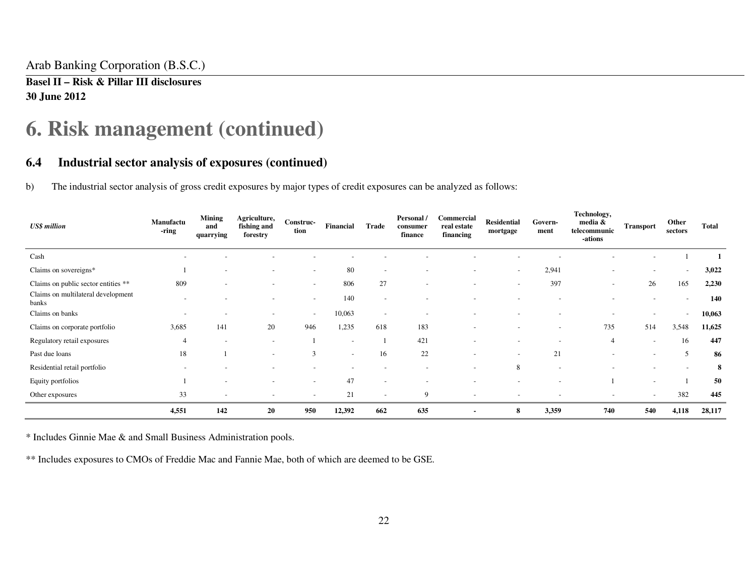Arab Banking Corporation (B.S.C.)

**Basel II – Risk & Pillar III disclosures 30 June 2012** 

## **6. Risk management (continued)**

#### **6.4 Industrial sector analysis of exposures (continued)**

b) The industrial sector analysis of gross credit exposures by major types of credit exposures can be analyzed as follows:

| <b>US\$</b> million                         | Manufactu<br>-ring       | <b>Mining</b><br>and<br>quarrying | Agriculture,<br>fishing and<br>forestry | <b>Construc-</b><br>tion | Financial                | Trade                    | Personal /<br>consumer<br>finance | Commercial<br>real estate<br>financing | <b>Residential</b><br>mortgage | Govern-<br>ment          | Technology,<br>media &<br>telecommunic<br>-ations | <b>Transport</b>         | Other<br>sectors         | Total  |
|---------------------------------------------|--------------------------|-----------------------------------|-----------------------------------------|--------------------------|--------------------------|--------------------------|-----------------------------------|----------------------------------------|--------------------------------|--------------------------|---------------------------------------------------|--------------------------|--------------------------|--------|
| Cash                                        | $\overline{\phantom{a}}$ |                                   |                                         |                          |                          |                          |                                   |                                        |                                |                          |                                                   |                          |                          |        |
| Claims on sovereigns*                       |                          |                                   | ٠                                       | $\overline{\phantom{0}}$ | 80                       | $\overline{\phantom{a}}$ |                                   |                                        | $\overline{\phantom{a}}$       | 2,941                    |                                                   |                          | $\overline{\phantom{a}}$ | 3,022  |
| Claims on public sector entities **         | 809                      |                                   | $\overline{\phantom{a}}$                | $\overline{\phantom{a}}$ | 806                      | 27                       | $\overline{\phantom{a}}$          |                                        | $\overline{\phantom{a}}$       | 397                      | $\overline{\phantom{0}}$                          | 26                       | 165                      | 2,230  |
| Claims on multilateral development<br>banks |                          |                                   | $\overline{\phantom{a}}$                | $\sim$                   | 140                      | $\overline{\phantom{a}}$ |                                   |                                        |                                |                          |                                                   | ٠                        | $\overline{\phantom{a}}$ | 140    |
| Claims on banks                             | $\overline{\phantom{0}}$ |                                   | $\overline{\phantom{a}}$                | $\sim$                   | 10,063                   | $\overline{\phantom{a}}$ |                                   |                                        |                                |                          |                                                   |                          | $\sim$                   | 10,063 |
| Claims on corporate portfolio               | 3,685                    | 141                               | 20                                      | 946                      | 1,235                    | 618                      | 183                               |                                        | $\overline{\phantom{a}}$       | $\overline{\phantom{a}}$ | 735                                               | 514                      | 3,548                    | 11,625 |
| Regulatory retail exposures                 | $\overline{4}$           | $\overline{\phantom{a}}$          | $\overline{\phantom{a}}$                |                          | $\overline{\phantom{a}}$ |                          | 421                               | $\overline{\phantom{a}}$               | $\overline{\phantom{a}}$       |                          | $\overline{4}$                                    | $\overline{\phantom{a}}$ | 16                       | 447    |
| Past due loans                              | 18                       |                                   | $\overline{\phantom{a}}$                | 3                        | $\overline{\phantom{a}}$ | 16                       | 22                                |                                        | $\overline{\phantom{a}}$       | 21                       |                                                   |                          | 5                        | 86     |
| Residential retail portfolio                |                          |                                   | $\overline{\phantom{a}}$                |                          | $\overline{\phantom{a}}$ | $\overline{\phantom{a}}$ | $\overline{\phantom{a}}$          | $\overline{\phantom{0}}$               | 8                              |                          |                                                   | $\overline{\phantom{0}}$ | $\overline{\phantom{0}}$ | 8      |
| Equity portfolios                           |                          |                                   | -                                       | $\overline{\phantom{0}}$ | 47                       | $\overline{\phantom{a}}$ |                                   |                                        |                                |                          |                                                   | $\overline{\phantom{a}}$ |                          | 50     |
| Other exposures                             | 33                       |                                   |                                         |                          | 21                       | $\overline{\phantom{a}}$ | 9                                 |                                        |                                |                          |                                                   | $\overline{\phantom{a}}$ | 382                      | 445    |
|                                             | 4,551                    | 142                               | 20                                      | 950                      | 12,392                   | 662                      | 635                               |                                        | 8                              | 3,359                    | 740                                               | 540                      | 4,118                    | 28,117 |

\* Includes Ginnie Mae & and Small Business Administration pools.

\*\* Includes exposures to CMOs of Freddie Mac and Fannie Mae, both of which are deemed to be GSE.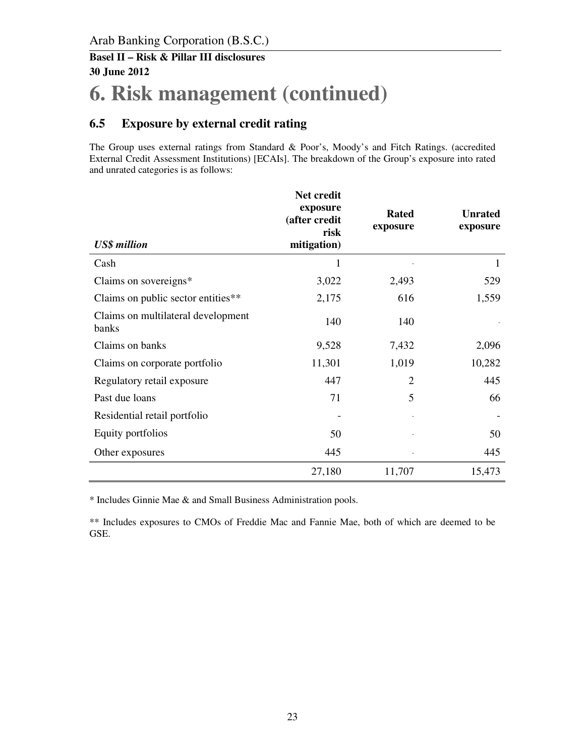## **6. Risk management (continued)**

## **6.5 Exposure by external credit rating**

The Group uses external ratings from Standard & Poor's, Moody's and Fitch Ratings. (accredited External Credit Assessment Institutions) [ECAIs]. The breakdown of the Group's exposure into rated and unrated categories is as follows:

| <b>US\$</b> million                         | Net credit<br>exposure<br>(after credit<br>risk<br>mitigation) | <b>Rated</b><br>exposure | <b>Unrated</b><br>exposure |
|---------------------------------------------|----------------------------------------------------------------|--------------------------|----------------------------|
| Cash                                        | 1                                                              |                          | 1                          |
| Claims on sovereigns*                       | 3,022                                                          | 2,493                    | 529                        |
| Claims on public sector entities**          | 2,175                                                          | 616                      | 1,559                      |
| Claims on multilateral development<br>banks | 140                                                            | 140                      |                            |
| Claims on banks                             | 9,528                                                          | 7,432                    | 2,096                      |
| Claims on corporate portfolio               | 11,301                                                         | 1,019                    | 10,282                     |
| Regulatory retail exposure                  | 447                                                            | 2                        | 445                        |
| Past due loans                              | 71                                                             | 5                        | 66                         |
| Residential retail portfolio                |                                                                |                          |                            |
| Equity portfolios                           | 50                                                             |                          | 50                         |
| Other exposures                             | 445                                                            |                          | 445                        |
|                                             | 27,180                                                         | 11,707                   | 15,473                     |

\* Includes Ginnie Mae & and Small Business Administration pools.

\*\* Includes exposures to CMOs of Freddie Mac and Fannie Mae, both of which are deemed to be GSE.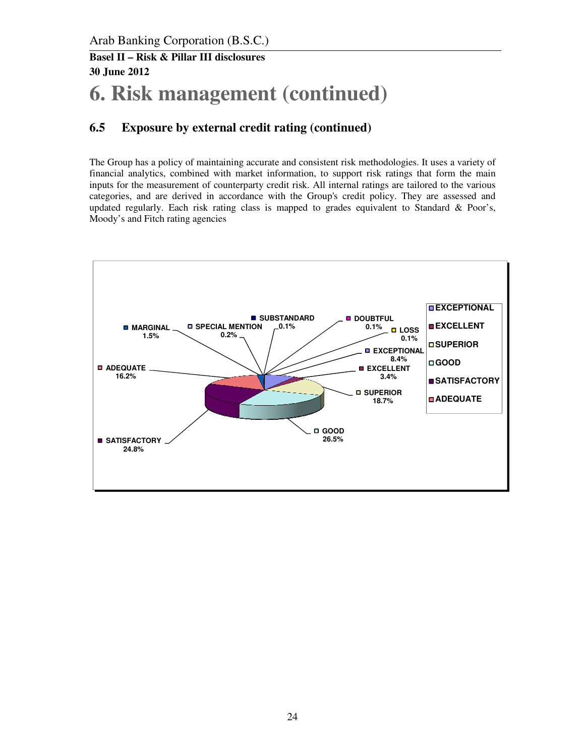# **6. Risk management (continued)**

## **6.5 Exposure by external credit rating (continued)**

The Group has a policy of maintaining accurate and consistent risk methodologies. It uses a variety of financial analytics, combined with market information, to support risk ratings that form the main inputs for the measurement of counterparty credit risk. All internal ratings are tailored to the various categories, and are derived in accordance with the Group's credit policy. They are assessed and updated regularly. Each risk rating class is mapped to grades equivalent to Standard & Poor's, Moody's and Fitch rating agencies

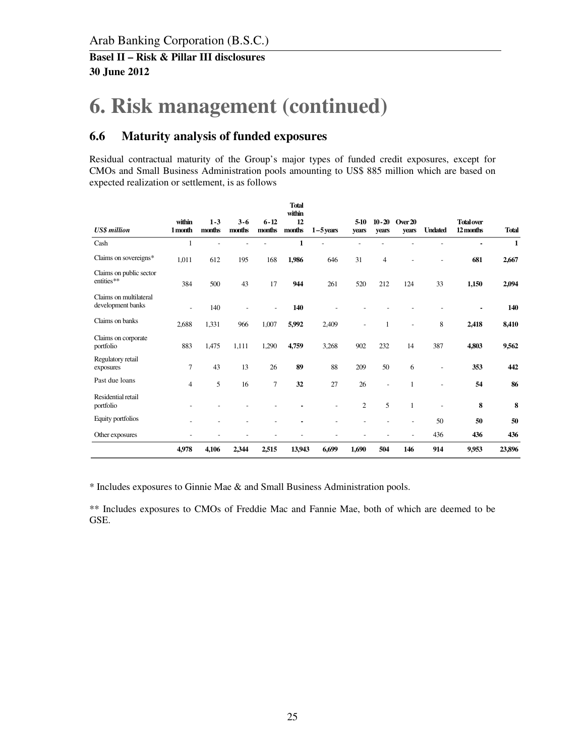# **6. Risk management (continued)**

### **6.6 Maturity analysis of funded exposures**

Residual contractual maturity of the Group's major types of funded credit exposures, except for CMOs and Small Business Administration pools amounting to US\$ 885 million which are based on expected realization or settlement, is as follows

|                                             |                   |                   |                   |                    | <b>Total</b><br>within |             |                 |                          |                  |                          |                                |              |
|---------------------------------------------|-------------------|-------------------|-------------------|--------------------|------------------------|-------------|-----------------|--------------------------|------------------|--------------------------|--------------------------------|--------------|
| <b>US\$</b> million                         | within<br>1 month | $1 - 3$<br>months | $3 - 6$<br>months | $6 - 12$<br>months | 12<br>months           | $1-5$ years | $5-10$<br>years | $10 - 20$<br>vears       | Over 20<br>years | <b>Undated</b>           | <b>Total over</b><br>12 months | <b>Total</b> |
| Cash                                        | 1                 |                   |                   |                    | $\mathbf{1}$           |             |                 |                          |                  |                          |                                | $\mathbf{1}$ |
| Claims on sovereigns*                       | 1,011             | 612               | 195               | 168                | 1,986                  | 646         | 31              | 4                        |                  |                          | 681                            | 2,667        |
| Claims on public sector<br>entities**       | 384               | 500               | 43                | 17                 | 944                    | 261         | 520             | 212                      | 124              | 33                       | 1,150                          | 2,094        |
| Claims on multilateral<br>development banks | ٠                 | 140               |                   |                    | 140                    |             |                 |                          |                  |                          |                                | 140          |
| Claims on banks                             | 2,688             | 1,331             | 966               | 1,007              | 5,992                  | 2,409       |                 | 1                        |                  | 8                        | 2,418                          | 8,410        |
| Claims on corporate<br>portfolio            | 883               | 1,475             | 1,111             | 1,290              | 4,759                  | 3,268       | 902             | 232                      | 14               | 387                      | 4,803                          | 9,562        |
| Regulatory retail<br>exposures              | $\overline{7}$    | 43                | 13                | 26                 | 89                     | 88          | 209             | 50                       | 6                | $\overline{\phantom{a}}$ | 353                            | 442          |
| Past due loans                              | $\overline{4}$    | 5                 | 16                | $\overline{7}$     | 32                     | 27          | 26              | $\overline{\phantom{a}}$ |                  |                          | 54                             | 86           |
| Residential retail<br>portfolio             |                   |                   |                   |                    |                        |             | $\overline{2}$  | 5                        | 1                | $\overline{\phantom{a}}$ | 8                              | 8            |
| Equity portfolios                           |                   |                   |                   |                    |                        |             |                 |                          | -                | 50                       | 50                             | 50           |
| Other exposures                             |                   |                   |                   |                    |                        |             |                 |                          | ٠                | 436                      | 436                            | 436          |
|                                             | 4,978             | 4,106             | 2,344             | 2,515              | 13,943                 | 6,699       | 1,690           | 504                      | 146              | 914                      | 9,953                          | 23,896       |

\* Includes exposures to Ginnie Mae & and Small Business Administration pools.

\*\* Includes exposures to CMOs of Freddie Mac and Fannie Mae, both of which are deemed to be GSE.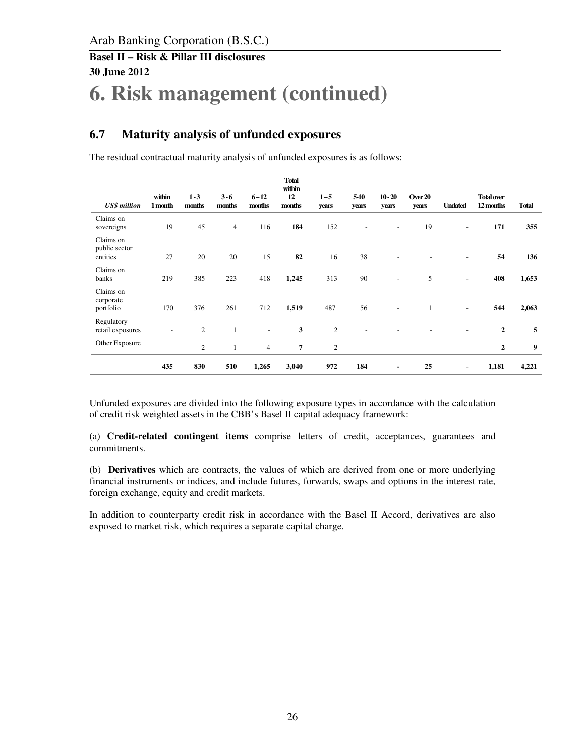# **6. Risk management (continued)**

## **6.7 Maturity analysis of unfunded exposures**

The residual contractual maturity analysis of unfunded exposures is as follows:

| <b>US\$</b> million                    | within<br>1 month            | $1 - 3$<br>months | $3 - 6$<br>months | $6 - 12$<br>months | <b>Total</b><br>within<br>12<br>months | $1 - 5$<br>years | 5-10<br>years | $10 - 20$<br>years       | Over 20<br>years | <b>Undated</b>           | <b>Total over</b><br>12 months | <b>Total</b> |
|----------------------------------------|------------------------------|-------------------|-------------------|--------------------|----------------------------------------|------------------|---------------|--------------------------|------------------|--------------------------|--------------------------------|--------------|
| Claims on<br>sovereigns                | 19                           | 45                | $\overline{4}$    | 116                | 184                                    | 152              |               | $\overline{\phantom{a}}$ | 19               | $\overline{\phantom{a}}$ | 171                            | 355          |
| Claims on<br>public sector<br>entities | 27                           | 20                | 20                | 15                 | 82                                     | 16               | 38            |                          |                  | $\overline{\phantom{a}}$ | 54                             | 136          |
| Claims on<br>banks                     | 219                          | 385               | 223               | 418                | 1,245                                  | 313              | 90            | $\overline{\phantom{a}}$ | 5                | $\overline{\phantom{a}}$ | 408                            | 1,653        |
| Claims on<br>corporate<br>portfolio    | 170                          | 376               | 261               | 712                | 1,519                                  | 487              | 56            |                          |                  | $\overline{\phantom{a}}$ | 544                            | 2,063        |
| Regulatory<br>retail exposures         | $\qquad \qquad \blacksquare$ | $\overline{c}$    | $\mathbf{1}$      |                    | 3                                      | $\mathbf{2}$     |               |                          |                  |                          | $\overline{2}$                 | 5            |
| Other Exposure                         |                              | $\overline{c}$    |                   | $\overline{4}$     | $\overline{7}$                         | $\overline{c}$   |               |                          |                  |                          | 2                              | 9            |
|                                        | 435                          | 830               | 510               | 1,265              | 3,040                                  | 972              | 184           | ۰                        | 25               | $\overline{\phantom{a}}$ | 1,181                          | 4,221        |

Unfunded exposures are divided into the following exposure types in accordance with the calculation of credit risk weighted assets in the CBB's Basel II capital adequacy framework:

(a) **Credit-related contingent items** comprise letters of credit, acceptances, guarantees and commitments.

(b) **Derivatives** which are contracts, the values of which are derived from one or more underlying financial instruments or indices, and include futures, forwards, swaps and options in the interest rate, foreign exchange, equity and credit markets.

In addition to counterparty credit risk in accordance with the Basel II Accord, derivatives are also exposed to market risk, which requires a separate capital charge.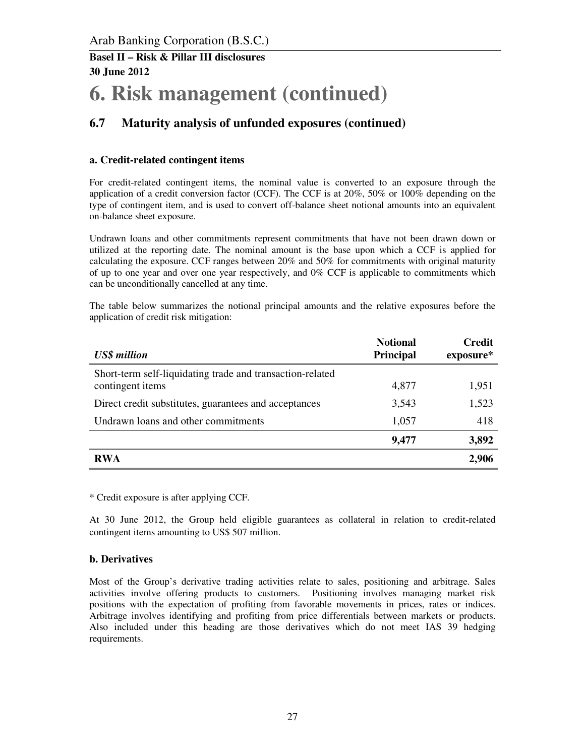# **6. Risk management (continued)**

## **6.7 Maturity analysis of unfunded exposures (continued)**

#### **a. Credit-related contingent items**

For credit-related contingent items, the nominal value is converted to an exposure through the application of a credit conversion factor (CCF). The CCF is at 20%, 50% or 100% depending on the type of contingent item, and is used to convert off-balance sheet notional amounts into an equivalent on-balance sheet exposure.

Undrawn loans and other commitments represent commitments that have not been drawn down or utilized at the reporting date. The nominal amount is the base upon which a CCF is applied for calculating the exposure. CCF ranges between 20% and 50% for commitments with original maturity of up to one year and over one year respectively, and 0% CCF is applicable to commitments which can be unconditionally cancelled at any time.

The table below summarizes the notional principal amounts and the relative exposures before the application of credit risk mitigation:

| <b>US\$</b> million                                                           | <b>Notional</b><br><b>Principal</b> | <b>Credit</b><br>exposure* |
|-------------------------------------------------------------------------------|-------------------------------------|----------------------------|
| Short-term self-liquidating trade and transaction-related<br>contingent items | 4,877                               | 1,951                      |
| Direct credit substitutes, guarantees and acceptances                         | 3,543                               | 1,523                      |
| Undrawn loans and other commitments                                           | 1,057                               | 418                        |
|                                                                               | 9,477                               | 3,892                      |
| <b>RWA</b>                                                                    |                                     | 2,906                      |

\* Credit exposure is after applying CCF.

At 30 June 2012, the Group held eligible guarantees as collateral in relation to credit-related contingent items amounting to US\$ 507 million.

#### **b. Derivatives**

Most of the Group's derivative trading activities relate to sales, positioning and arbitrage. Sales activities involve offering products to customers. Positioning involves managing market risk positions with the expectation of profiting from favorable movements in prices, rates or indices. Arbitrage involves identifying and profiting from price differentials between markets or products. Also included under this heading are those derivatives which do not meet IAS 39 hedging requirements.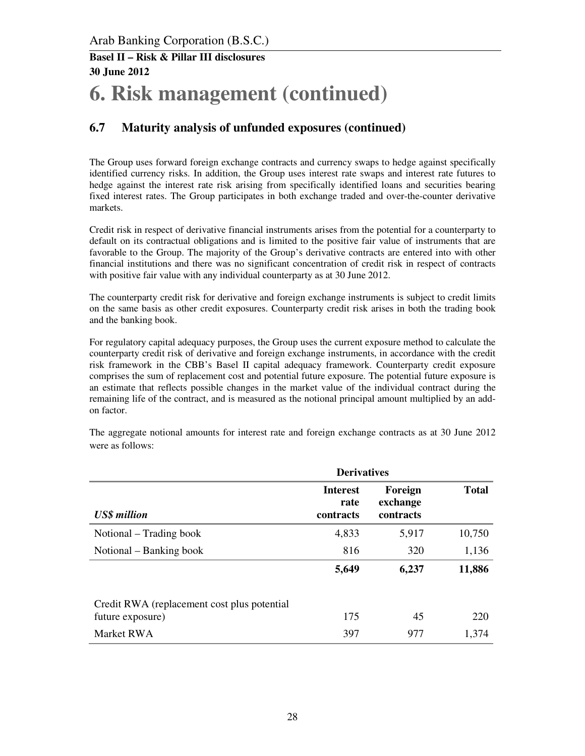# **6. Risk management (continued)**

## **6.7 Maturity analysis of unfunded exposures (continued)**

The Group uses forward foreign exchange contracts and currency swaps to hedge against specifically identified currency risks. In addition, the Group uses interest rate swaps and interest rate futures to hedge against the interest rate risk arising from specifically identified loans and securities bearing fixed interest rates. The Group participates in both exchange traded and over-the-counter derivative markets.

Credit risk in respect of derivative financial instruments arises from the potential for a counterparty to default on its contractual obligations and is limited to the positive fair value of instruments that are favorable to the Group. The majority of the Group's derivative contracts are entered into with other financial institutions and there was no significant concentration of credit risk in respect of contracts with positive fair value with any individual counterparty as at 30 June 2012.

The counterparty credit risk for derivative and foreign exchange instruments is subject to credit limits on the same basis as other credit exposures. Counterparty credit risk arises in both the trading book and the banking book.

For regulatory capital adequacy purposes, the Group uses the current exposure method to calculate the counterparty credit risk of derivative and foreign exchange instruments, in accordance with the credit risk framework in the CBB's Basel II capital adequacy framework. Counterparty credit exposure comprises the sum of replacement cost and potential future exposure. The potential future exposure is an estimate that reflects possible changes in the market value of the individual contract during the remaining life of the contract, and is measured as the notional principal amount multiplied by an addon factor.

The aggregate notional amounts for interest rate and foreign exchange contracts as at 30 June 2012 were as follows:

|                                                                  | <b>Derivatives</b>                   |                                  |              |
|------------------------------------------------------------------|--------------------------------------|----------------------------------|--------------|
| <b>US\$</b> million                                              | <b>Interest</b><br>rate<br>contracts | Foreign<br>exchange<br>contracts | <b>Total</b> |
| Notional – Trading book                                          | 4,833                                | 5,917                            | 10,750       |
| Notional – Banking book                                          | 816                                  | 320                              | 1,136        |
|                                                                  | 5,649                                | 6,237                            | 11,886       |
| Credit RWA (replacement cost plus potential)<br>future exposure) | 175                                  | 45                               | 220          |
| Market RWA                                                       | 397                                  | 977                              | 1,374        |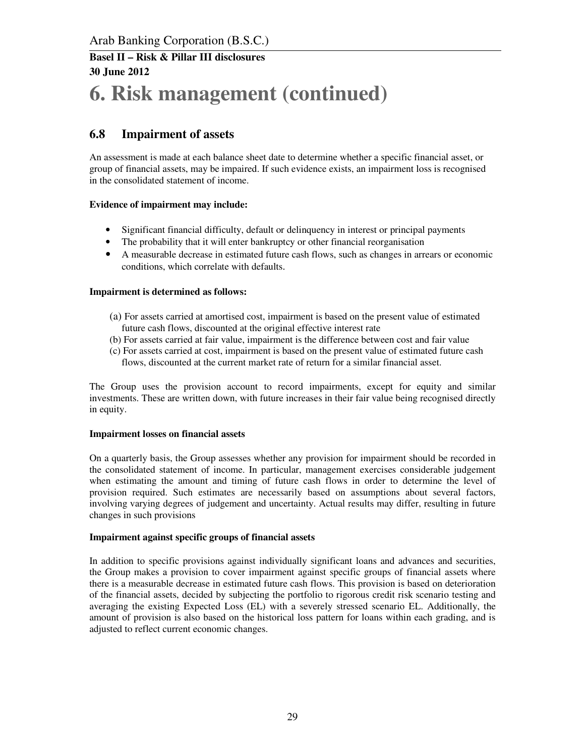# **6. Risk management (continued)**

## **6.8 Impairment of assets**

An assessment is made at each balance sheet date to determine whether a specific financial asset, or group of financial assets, may be impaired. If such evidence exists, an impairment loss is recognised in the consolidated statement of income.

#### **Evidence of impairment may include:**

- Significant financial difficulty, default or delinquency in interest or principal payments
- The probability that it will enter bankruptcy or other financial reorganisation
- A measurable decrease in estimated future cash flows, such as changes in arrears or economic conditions, which correlate with defaults.

#### **Impairment is determined as follows:**

- (a) For assets carried at amortised cost, impairment is based on the present value of estimated future cash flows, discounted at the original effective interest rate
- (b) For assets carried at fair value, impairment is the difference between cost and fair value
- (c) For assets carried at cost, impairment is based on the present value of estimated future cash flows, discounted at the current market rate of return for a similar financial asset.

The Group uses the provision account to record impairments, except for equity and similar investments. These are written down, with future increases in their fair value being recognised directly in equity.

#### **Impairment losses on financial assets**

On a quarterly basis, the Group assesses whether any provision for impairment should be recorded in the consolidated statement of income. In particular, management exercises considerable judgement when estimating the amount and timing of future cash flows in order to determine the level of provision required. Such estimates are necessarily based on assumptions about several factors, involving varying degrees of judgement and uncertainty. Actual results may differ, resulting in future changes in such provisions

#### **Impairment against specific groups of financial assets**

In addition to specific provisions against individually significant loans and advances and securities, the Group makes a provision to cover impairment against specific groups of financial assets where there is a measurable decrease in estimated future cash flows. This provision is based on deterioration of the financial assets, decided by subjecting the portfolio to rigorous credit risk scenario testing and averaging the existing Expected Loss (EL) with a severely stressed scenario EL. Additionally, the amount of provision is also based on the historical loss pattern for loans within each grading, and is adjusted to reflect current economic changes.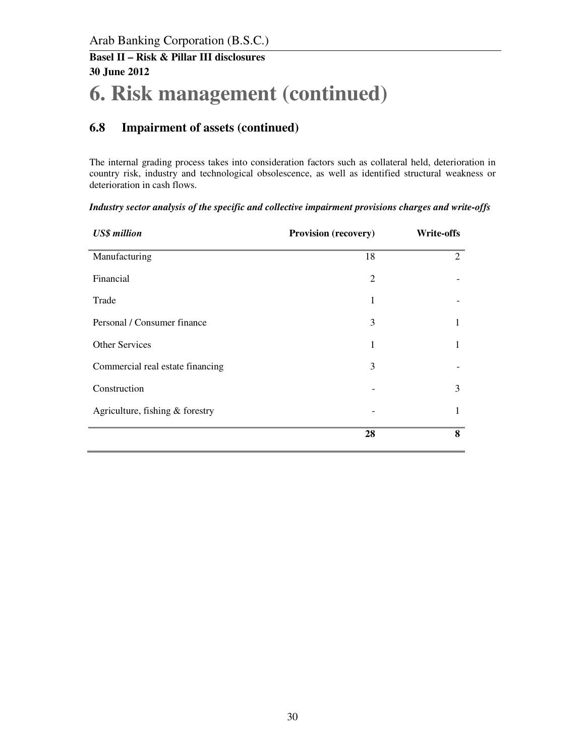# **6. Risk management (continued)**

## **6.8 Impairment of assets (continued)**

The internal grading process takes into consideration factors such as collateral held, deterioration in country risk, industry and technological obsolescence, as well as identified structural weakness or deterioration in cash flows.

| <b>US\$</b> million              | <b>Provision (recovery)</b> | <b>Write-offs</b> |
|----------------------------------|-----------------------------|-------------------|
| Manufacturing                    | 18                          | $\overline{2}$    |
| Financial                        | 2                           |                   |
| Trade                            | 1                           |                   |
| Personal / Consumer finance      | 3                           | 1                 |
| <b>Other Services</b>            | 1                           | 1                 |
| Commercial real estate financing | 3                           |                   |
| Construction                     |                             | 3                 |
| Agriculture, fishing & forestry  |                             | 1                 |
|                                  | 28                          | 8                 |

*Industry sector analysis of the specific and collective impairment provisions charges and write-offs*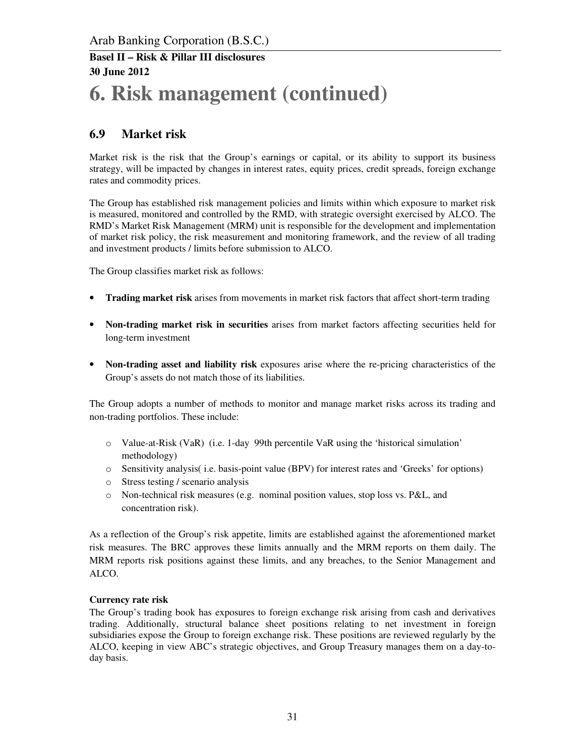# **6. Risk management (continued)**

## **6.9 Market risk**

Market risk is the risk that the Group's earnings or capital, or its ability to support its business strategy, will be impacted by changes in interest rates, equity prices, credit spreads, foreign exchange rates and commodity prices.

The Group has established risk management policies and limits within which exposure to market risk is measured, monitored and controlled by the RMD, with strategic oversight exercised by ALCO. The RMD's Market Risk Management (MRM) unit is responsible for the development and implementation of market risk policy, the risk measurement and monitoring framework, and the review of all trading and investment products / limits before submission to ALCO.

The Group classifies market risk as follows:

- **Trading market risk** arises from movements in market risk factors that affect short-term trading
- **Non-trading market risk in securities** arises from market factors affecting securities held for long-term investment
- **Non-trading asset and liability risk** exposures arise where the re-pricing characteristics of the Group's assets do not match those of its liabilities.

The Group adopts a number of methods to monitor and manage market risks across its trading and non-trading portfolios. These include:

- o Value-at-Risk (VaR) (i.e. 1-day 99th percentile VaR using the 'historical simulation' methodology)
- o Sensitivity analysis( i.e. basis-point value (BPV) for interest rates and 'Greeks' for options)
- o Stress testing / scenario analysis
- o Non-technical risk measures (e.g. nominal position values, stop loss vs. P&L, and concentration risk).

As a reflection of the Group's risk appetite, limits are established against the aforementioned market risk measures. The BRC approves these limits annually and the MRM reports on them daily. The MRM reports risk positions against these limits, and any breaches, to the Senior Management and ALCO.

#### **Currency rate risk**

The Group's trading book has exposures to foreign exchange risk arising from cash and derivatives trading. Additionally, structural balance sheet positions relating to net investment in foreign subsidiaries expose the Group to foreign exchange risk. These positions are reviewed regularly by the ALCO, keeping in view ABC's strategic objectives, and Group Treasury manages them on a day-today basis.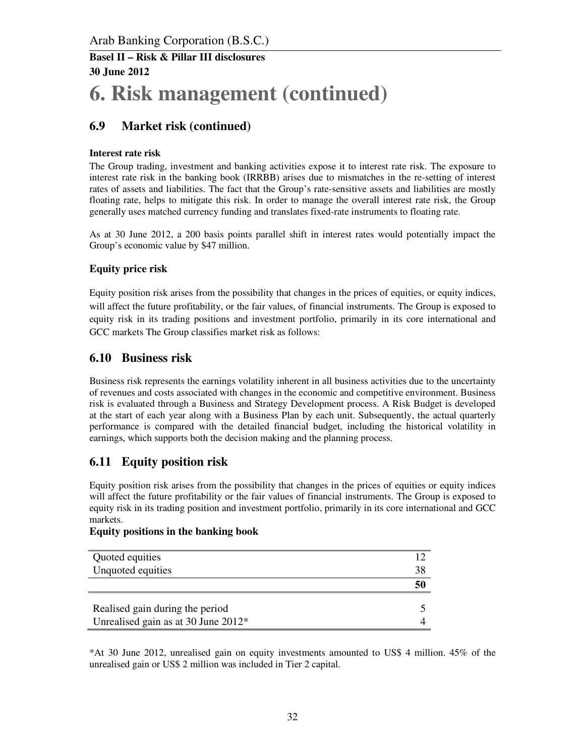# **6. Risk management (continued)**

## **6.9 Market risk (continued)**

#### **Interest rate risk**

The Group trading, investment and banking activities expose it to interest rate risk. The exposure to interest rate risk in the banking book (IRRBB) arises due to mismatches in the re-setting of interest rates of assets and liabilities. The fact that the Group's rate-sensitive assets and liabilities are mostly floating rate, helps to mitigate this risk. In order to manage the overall interest rate risk, the Group generally uses matched currency funding and translates fixed-rate instruments to floating rate.

As at 30 June 2012, a 200 basis points parallel shift in interest rates would potentially impact the Group's economic value by \$47 million.

#### **Equity price risk**

Equity position risk arises from the possibility that changes in the prices of equities, or equity indices, will affect the future profitability, or the fair values, of financial instruments. The Group is exposed to equity risk in its trading positions and investment portfolio, primarily in its core international and GCC markets The Group classifies market risk as follows:

#### **6.10 Business risk**

Business risk represents the earnings volatility inherent in all business activities due to the uncertainty of revenues and costs associated with changes in the economic and competitive environment. Business risk is evaluated through a Business and Strategy Development process. A Risk Budget is developed at the start of each year along with a Business Plan by each unit. Subsequently, the actual quarterly performance is compared with the detailed financial budget, including the historical volatility in earnings, which supports both the decision making and the planning process.

#### **6.11 Equity position risk**

Equity position risk arises from the possibility that changes in the prices of equities or equity indices will affect the future profitability or the fair values of financial instruments. The Group is exposed to equity risk in its trading position and investment portfolio, primarily in its core international and GCC markets.

#### **Equity positions in the banking book**

| 38 |
|----|
|    |
|    |
|    |
|    |

\*At 30 June 2012, unrealised gain on equity investments amounted to US\$ 4 million. 45% of the unrealised gain or US\$ 2 million was included in Tier 2 capital.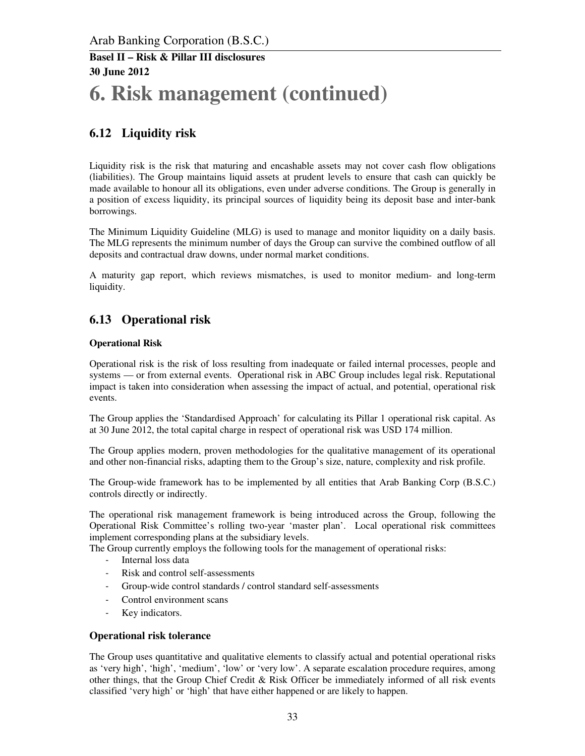# **6. Risk management (continued)**

## **6.12 Liquidity risk**

Liquidity risk is the risk that maturing and encashable assets may not cover cash flow obligations (liabilities). The Group maintains liquid assets at prudent levels to ensure that cash can quickly be made available to honour all its obligations, even under adverse conditions. The Group is generally in a position of excess liquidity, its principal sources of liquidity being its deposit base and inter-bank borrowings.

The Minimum Liquidity Guideline (MLG) is used to manage and monitor liquidity on a daily basis. The MLG represents the minimum number of days the Group can survive the combined outflow of all deposits and contractual draw downs, under normal market conditions.

A maturity gap report, which reviews mismatches, is used to monitor medium- and long-term liquidity.

## **6.13 Operational risk**

#### **Operational Risk**

Operational risk is the risk of loss resulting from inadequate or failed internal processes, people and systems — or from external events. Operational risk in ABC Group includes legal risk. Reputational impact is taken into consideration when assessing the impact of actual, and potential, operational risk events.

The Group applies the 'Standardised Approach' for calculating its Pillar 1 operational risk capital. As at 30 June 2012, the total capital charge in respect of operational risk was USD 174 million.

The Group applies modern, proven methodologies for the qualitative management of its operational and other non-financial risks, adapting them to the Group's size, nature, complexity and risk profile.

The Group-wide framework has to be implemented by all entities that Arab Banking Corp (B.S.C.) controls directly or indirectly.

The operational risk management framework is being introduced across the Group, following the Operational Risk Committee's rolling two-year 'master plan'. Local operational risk committees implement corresponding plans at the subsidiary levels.

The Group currently employs the following tools for the management of operational risks:

- Internal loss data
- Risk and control self-assessments
- Group-wide control standards / control standard self-assessments
- Control environment scans
- Key indicators.

#### **Operational risk tolerance**

The Group uses quantitative and qualitative elements to classify actual and potential operational risks as 'very high', 'high', 'medium', 'low' or 'very low'. A separate escalation procedure requires, among other things, that the Group Chief Credit & Risk Officer be immediately informed of all risk events classified 'very high' or 'high' that have either happened or are likely to happen.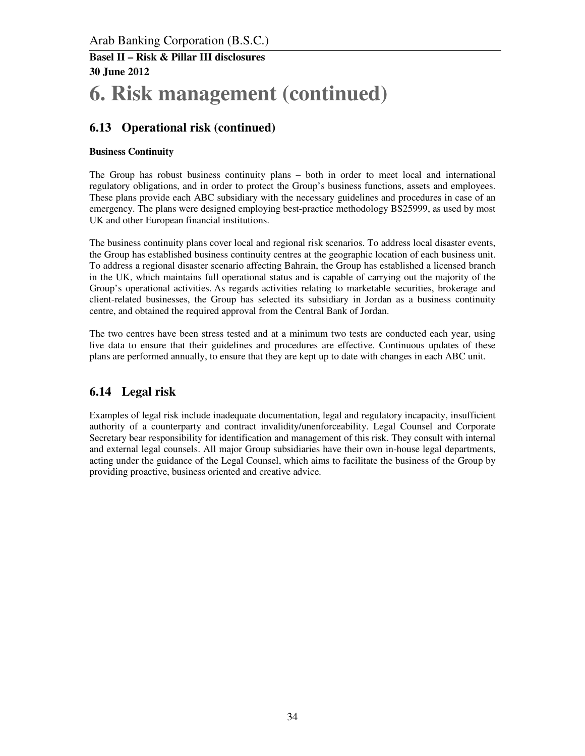## **6. Risk management (continued)**

### **6.13 Operational risk (continued)**

#### **Business Continuity**

The Group has robust business continuity plans – both in order to meet local and international regulatory obligations, and in order to protect the Group's business functions, assets and employees. These plans provide each ABC subsidiary with the necessary guidelines and procedures in case of an emergency. The plans were designed employing best-practice methodology BS25999, as used by most UK and other European financial institutions.

The business continuity plans cover local and regional risk scenarios. To address local disaster events, the Group has established business continuity centres at the geographic location of each business unit. To address a regional disaster scenario affecting Bahrain, the Group has established a licensed branch in the UK, which maintains full operational status and is capable of carrying out the majority of the Group's operational activities. As regards activities relating to marketable securities, brokerage and client-related businesses, the Group has selected its subsidiary in Jordan as a business continuity centre, and obtained the required approval from the Central Bank of Jordan.

The two centres have been stress tested and at a minimum two tests are conducted each year, using live data to ensure that their guidelines and procedures are effective. Continuous updates of these plans are performed annually, to ensure that they are kept up to date with changes in each ABC unit.

## **6.14 Legal risk**

Examples of legal risk include inadequate documentation, legal and regulatory incapacity, insufficient authority of a counterparty and contract invalidity/unenforceability. Legal Counsel and Corporate Secretary bear responsibility for identification and management of this risk. They consult with internal and external legal counsels. All major Group subsidiaries have their own in-house legal departments, acting under the guidance of the Legal Counsel, which aims to facilitate the business of the Group by providing proactive, business oriented and creative advice.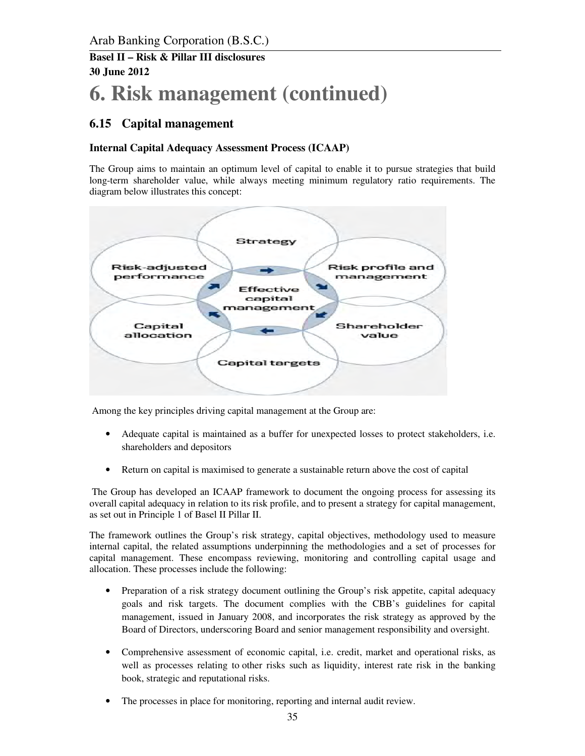# **6. Risk management (continued)**

#### **6.15 Capital management**

#### **Internal Capital Adequacy Assessment Process (ICAAP)**

The Group aims to maintain an optimum level of capital to enable it to pursue strategies that build long-term shareholder value, while always meeting minimum regulatory ratio requirements. The diagram below illustrates this concept:



Among the key principles driving capital management at the Group are:

- Adequate capital is maintained as a buffer for unexpected losses to protect stakeholders, i.e. shareholders and depositors
- Return on capital is maximised to generate a sustainable return above the cost of capital

 The Group has developed an ICAAP framework to document the ongoing process for assessing its overall capital adequacy in relation to its risk profile, and to present a strategy for capital management, as set out in Principle 1 of Basel II Pillar II.

The framework outlines the Group's risk strategy, capital objectives, methodology used to measure internal capital, the related assumptions underpinning the methodologies and a set of processes for capital management. These encompass reviewing, monitoring and controlling capital usage and allocation. These processes include the following:

- Preparation of a risk strategy document outlining the Group's risk appetite, capital adequacy goals and risk targets. The document complies with the CBB's guidelines for capital management, issued in January 2008, and incorporates the risk strategy as approved by the Board of Directors, underscoring Board and senior management responsibility and oversight.
- Comprehensive assessment of economic capital, i.e. credit, market and operational risks, as well as processes relating to other risks such as liquidity, interest rate risk in the banking book, strategic and reputational risks.
- The processes in place for monitoring, reporting and internal audit review.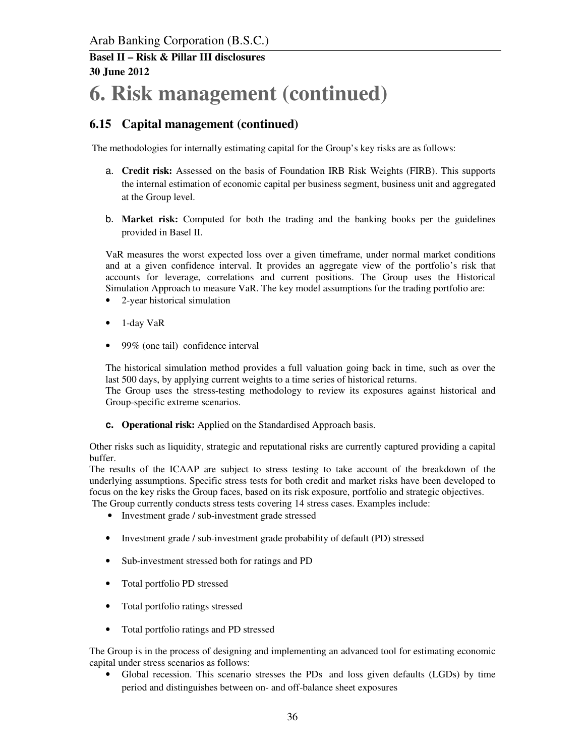# **6. Risk management (continued)**

## **6.15 Capital management (continued)**

The methodologies for internally estimating capital for the Group's key risks are as follows:

- a. **Credit risk:** Assessed on the basis of Foundation IRB Risk Weights (FIRB). This supports the internal estimation of economic capital per business segment, business unit and aggregated at the Group level.
- b. **Market risk:** Computed for both the trading and the banking books per the guidelines provided in Basel II.

VaR measures the worst expected loss over a given timeframe, under normal market conditions and at a given confidence interval. It provides an aggregate view of the portfolio's risk that accounts for leverage, correlations and current positions. The Group uses the Historical Simulation Approach to measure VaR. The key model assumptions for the trading portfolio are:

- 2-year historical simulation
- 1-day VaR
- 99% (one tail) confidence interval

The historical simulation method provides a full valuation going back in time, such as over the last 500 days, by applying current weights to a time series of historical returns.

The Group uses the stress-testing methodology to review its exposures against historical and Group-specific extreme scenarios.

**c. Operational risk:** Applied on the Standardised Approach basis.

Other risks such as liquidity, strategic and reputational risks are currently captured providing a capital buffer.

The results of the ICAAP are subject to stress testing to take account of the breakdown of the underlying assumptions. Specific stress tests for both credit and market risks have been developed to focus on the key risks the Group faces, based on its risk exposure, portfolio and strategic objectives. The Group currently conducts stress tests covering 14 stress cases. Examples include:

- Investment grade / sub-investment grade stressed
- Investment grade / sub-investment grade probability of default (PD) stressed
- Sub-investment stressed both for ratings and PD
- Total portfolio PD stressed
- Total portfolio ratings stressed
- Total portfolio ratings and PD stressed

The Group is in the process of designing and implementing an advanced tool for estimating economic capital under stress scenarios as follows:

• Global recession. This scenario stresses the PDs and loss given defaults (LGDs) by time period and distinguishes between on- and off-balance sheet exposures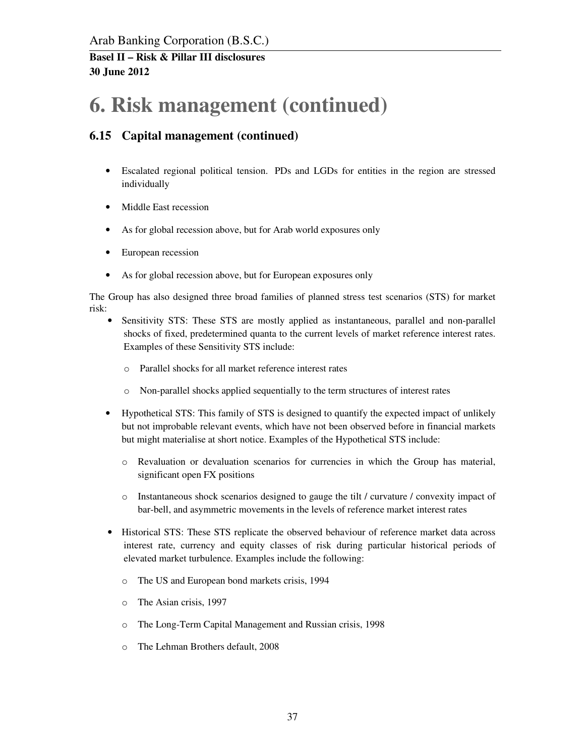## **6. Risk management (continued)**

## **6.15 Capital management (continued)**

- Escalated regional political tension. PDs and LGDs for entities in the region are stressed individually
- Middle East recession
- As for global recession above, but for Arab world exposures only
- European recession
- As for global recession above, but for European exposures only

The Group has also designed three broad families of planned stress test scenarios (STS) for market risk:

- Sensitivity STS: These STS are mostly applied as instantaneous, parallel and non-parallel shocks of fixed, predetermined quanta to the current levels of market reference interest rates. Examples of these Sensitivity STS include:
	- o Parallel shocks for all market reference interest rates
	- o Non-parallel shocks applied sequentially to the term structures of interest rates
- Hypothetical STS: This family of STS is designed to quantify the expected impact of unlikely but not improbable relevant events, which have not been observed before in financial markets but might materialise at short notice. Examples of the Hypothetical STS include:
	- o Revaluation or devaluation scenarios for currencies in which the Group has material, significant open FX positions
	- o Instantaneous shock scenarios designed to gauge the tilt / curvature / convexity impact of bar-bell, and asymmetric movements in the levels of reference market interest rates
- Historical STS: These STS replicate the observed behaviour of reference market data across interest rate, currency and equity classes of risk during particular historical periods of elevated market turbulence. Examples include the following:
	- o The US and European bond markets crisis, 1994
	- o The Asian crisis, 1997
	- o The Long-Term Capital Management and Russian crisis, 1998
	- o The Lehman Brothers default, 2008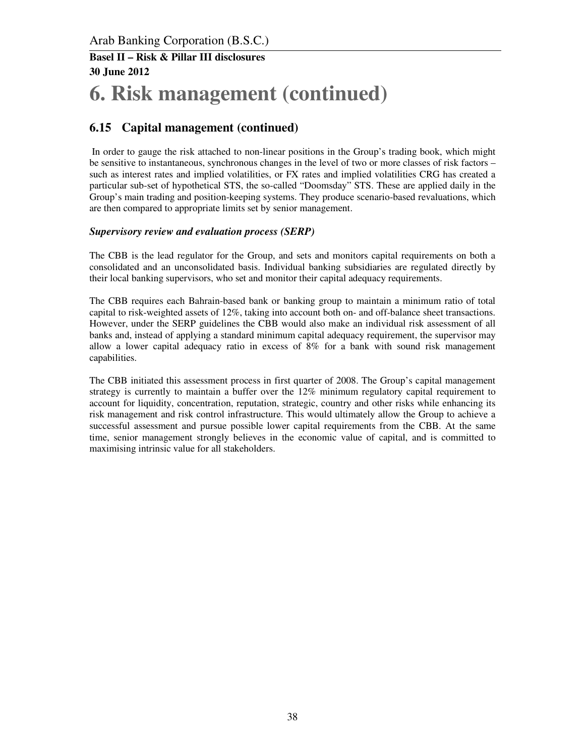# **6. Risk management (continued)**

## **6.15 Capital management (continued)**

 In order to gauge the risk attached to non-linear positions in the Group's trading book, which might be sensitive to instantaneous, synchronous changes in the level of two or more classes of risk factors – such as interest rates and implied volatilities, or FX rates and implied volatilities CRG has created a particular sub-set of hypothetical STS, the so-called "Doomsday" STS. These are applied daily in the Group's main trading and position-keeping systems. They produce scenario-based revaluations, which are then compared to appropriate limits set by senior management.

#### *Supervisory review and evaluation process (SERP)*

The CBB is the lead regulator for the Group, and sets and monitors capital requirements on both a consolidated and an unconsolidated basis. Individual banking subsidiaries are regulated directly by their local banking supervisors, who set and monitor their capital adequacy requirements.

The CBB requires each Bahrain-based bank or banking group to maintain a minimum ratio of total capital to risk-weighted assets of 12%, taking into account both on- and off-balance sheet transactions. However, under the SERP guidelines the CBB would also make an individual risk assessment of all banks and, instead of applying a standard minimum capital adequacy requirement, the supervisor may allow a lower capital adequacy ratio in excess of 8% for a bank with sound risk management capabilities.

The CBB initiated this assessment process in first quarter of 2008. The Group's capital management strategy is currently to maintain a buffer over the 12% minimum regulatory capital requirement to account for liquidity, concentration, reputation, strategic, country and other risks while enhancing its risk management and risk control infrastructure. This would ultimately allow the Group to achieve a successful assessment and pursue possible lower capital requirements from the CBB. At the same time, senior management strongly believes in the economic value of capital, and is committed to maximising intrinsic value for all stakeholders.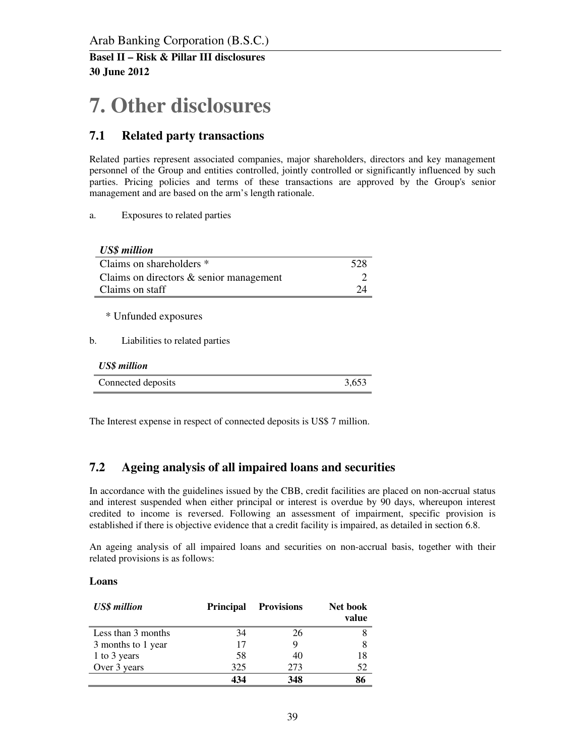# **7. Other disclosures**

## **7.1 Related party transactions**

Related parties represent associated companies, major shareholders, directors and key management personnel of the Group and entities controlled, jointly controlled or significantly influenced by such parties. Pricing policies and terms of these transactions are approved by the Group's senior management and are based on the arm's length rationale.

a. Exposures to related parties

| <b>US\$</b> million                                          |     |
|--------------------------------------------------------------|-----|
| Claims on shareholders *                                     | 528 |
| Claims on directors $\&$ senior management                   |     |
| Claims on staff                                              | 24  |
| * Unfunded exposures<br>Liabilities to related parties<br>b. |     |
| <b>US\$</b> million                                          |     |
| Connected deposits                                           |     |

The Interest expense in respect of connected deposits is US\$ 7 million.

## **7.2 Ageing analysis of all impaired loans and securities**

In accordance with the guidelines issued by the CBB, credit facilities are placed on non-accrual status and interest suspended when either principal or interest is overdue by 90 days, whereupon interest credited to income is reversed. Following an assessment of impairment, specific provision is established if there is objective evidence that a credit facility is impaired, as detailed in section 6.8.

An ageing analysis of all impaired loans and securities on non-accrual basis, together with their related provisions is as follows:

#### **Loans**

| <b>US\$</b> million | <b>Principal</b> | <b>Provisions</b> | Net book<br>value |
|---------------------|------------------|-------------------|-------------------|
| Less than 3 months  | 34               | 26                |                   |
| 3 months to 1 year  | 17               | 9                 | 8                 |
| 1 to 3 years        | 58               | 40                | 18                |
| Over 3 years        | 325              | 273               | 52                |
|                     | 434              | 348               | 86                |